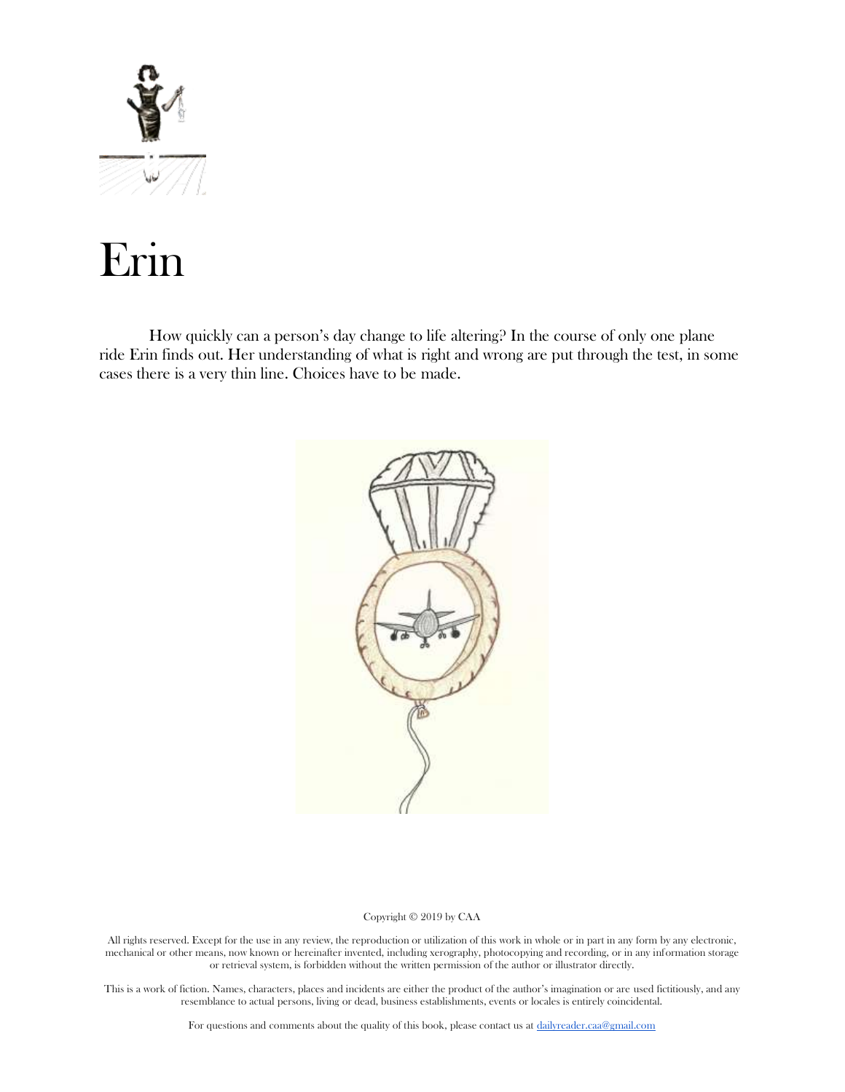

# Erin

How quickly can a person's day change to life altering? In the course of only one plane ride Erin finds out. Her understanding of what is right and wrong are put through the test, in some cases there is a very thin line. Choices have to be made.



#### Copyright © 2019 by CAA

All rights reserved. Except for the use in any review, the reproduction or utilization of this work in whole or in part in any form by any electronic, mechanical or other means, now known or hereinafter invented, including xerography, photocopying and recording, or in any information storage or retrieval system, is forbidden without the written permission of the author or illustrator directly.

This is a work of fiction. Names, characters, places and incidents are either the product of the author's imagination or are used fictitiously, and any resemblance to actual persons, living or dead, business establishments, events or locales is entirely coincidental.

For questions and comments about the quality of this book, please contact us at [dailyreader.caa@gmail.com](mailto:dailyreader.caa@gmail.com)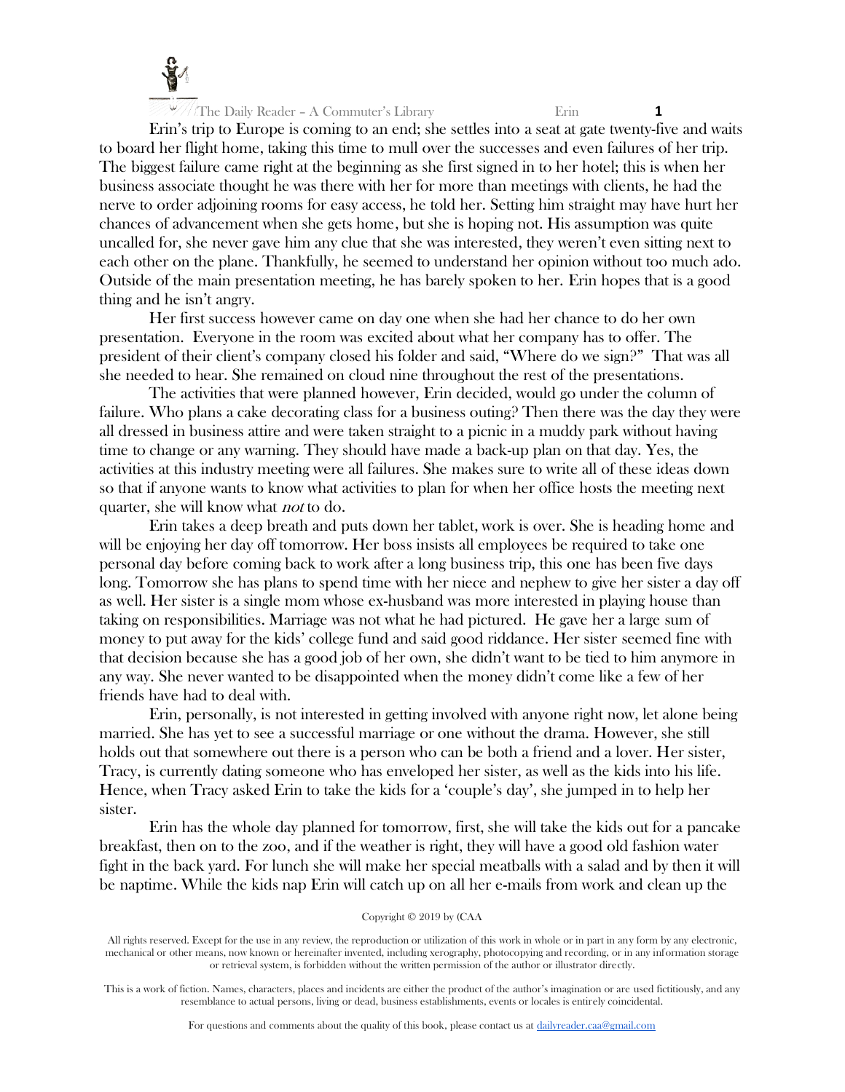

Erin's trip to Europe is coming to an end; she settles into a seat at gate twenty-five and waits to board her flight home, taking this time to mull over the successes and even failures of her trip. The biggest failure came right at the beginning as she first signed in to her hotel; this is when her business associate thought he was there with her for more than meetings with clients, he had the nerve to order adjoining rooms for easy access, he told her. Setting him straight may have hurt her chances of advancement when she gets home, but she is hoping not. His assumption was quite uncalled for, she never gave him any clue that she was interested, they weren't even sitting next to each other on the plane. Thankfully, he seemed to understand her opinion without too much ado. Outside of the main presentation meeting, he has barely spoken to her. Erin hopes that is a good thing and he isn't angry.

Her first success however came on day one when she had her chance to do her own presentation. Everyone in the room was excited about what her company has to offer. The president of their client's company closed his folder and said, "Where do we sign?" That was all she needed to hear. She remained on cloud nine throughout the rest of the presentations.

The activities that were planned however, Erin decided, would go under the column of failure. Who plans a cake decorating class for a business outing? Then there was the day they were all dressed in business attire and were taken straight to a picnic in a muddy park without having time to change or any warning. They should have made a back-up plan on that day. Yes, the activities at this industry meeting were all failures. She makes sure to write all of these ideas down so that if anyone wants to know what activities to plan for when her office hosts the meeting next quarter, she will know what *not* to do.

Erin takes a deep breath and puts down her tablet, work is over. She is heading home and will be enjoying her day off tomorrow. Her boss insists all employees be required to take one personal day before coming back to work after a long business trip, this one has been five days long. Tomorrow she has plans to spend time with her niece and nephew to give her sister a day off as well. Her sister is a single mom whose ex-husband was more interested in playing house than taking on responsibilities. Marriage was not what he had pictured. He gave her a large sum of money to put away for the kids' college fund and said good riddance. Her sister seemed fine with that decision because she has a good job of her own, she didn't want to be tied to him anymore in any way. She never wanted to be disappointed when the money didn't come like a few of her friends have had to deal with.

Erin, personally, is not interested in getting involved with anyone right now, let alone being married. She has yet to see a successful marriage or one without the drama. However, she still holds out that somewhere out there is a person who can be both a friend and a lover. Her sister, Tracy, is currently dating someone who has enveloped her sister, as well as the kids into his life. Hence, when Tracy asked Erin to take the kids for a 'couple's day', she jumped in to help her sister.

Erin has the whole day planned for tomorrow, first, she will take the kids out for a pancake breakfast, then on to the zoo, and if the weather is right, they will have a good old fashion water fight in the back yard. For lunch she will make her special meatballs with a salad and by then it will be naptime. While the kids nap Erin will catch up on all her e-mails from work and clean up the

#### Copyright © 2019 by (CAA

All rights reserved. Except for the use in any review, the reproduction or utilization of this work in whole or in part in any form by any electronic, mechanical or other means, now known or hereinafter invented, including xerography, photocopying and recording, or in any information storage or retrieval system, is forbidden without the written permission of the author or illustrator directly.

This is a work of fiction. Names, characters, places and incidents are either the product of the author's imagination or are used fictitiously, and any resemblance to actual persons, living or dead, business establishments, events or locales is entirely coincidental.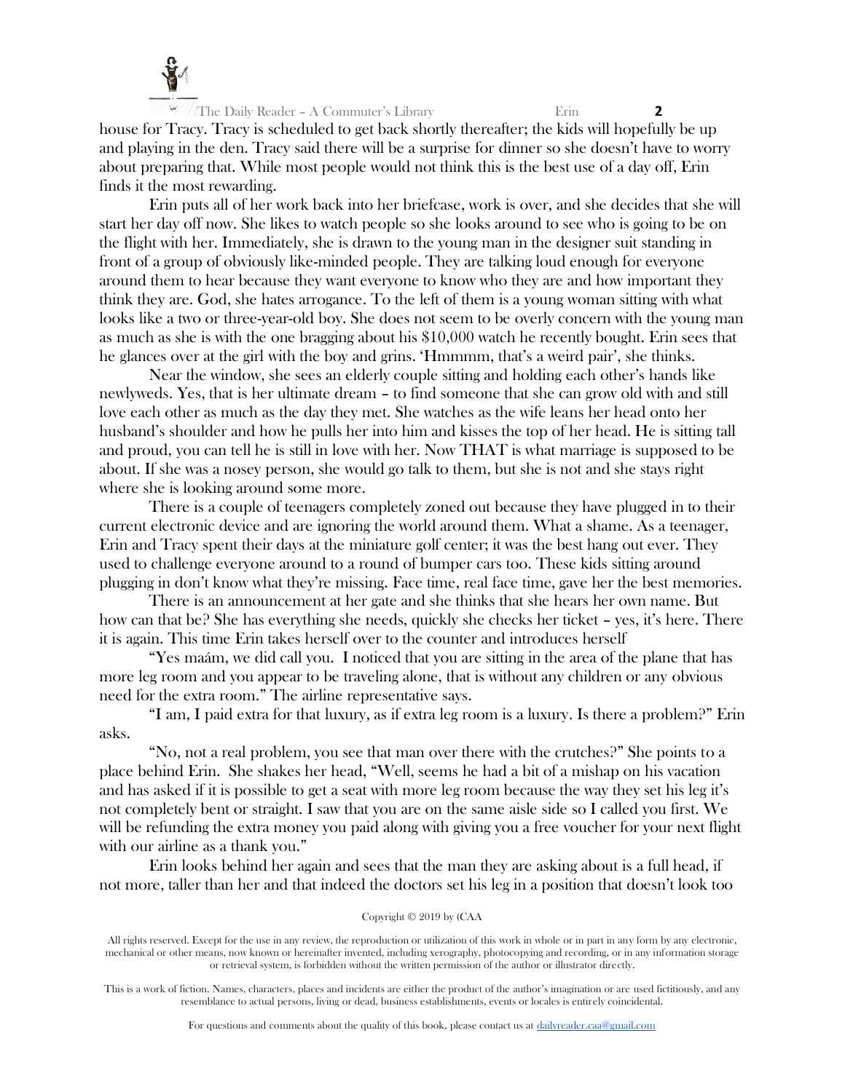

The Daily Reader – A Commuter's Library Erin **2** house for Tracy. Tracy is scheduled to get back shortly thereafter; the kids will hopefully be up and playing in the den. Tracy said there will be a surprise for dinner so she doesn't have to worry about preparing that. While most people would not think this is the best use of a day off, Erin finds it the most rewarding.

Erin puts all of her work back into her briefcase, work is over, and she decides that she will start her day off now. She likes to watch people so she looks around to see who is going to be on the flight with her. Immediately, she is drawn to the young man in the designer suit standing in front of a group of obviously like-minded people. They are talking loud enough for everyone around them to hear because they want everyone to know who they are and how important they think they are. God, she hates arrogance. To the left of them is a young woman sitting with what looks like a two or three-year-old boy. She does not seem to be overly concern with the young man as much as she is with the one bragging about his \$10,000 watch he recently bought. Erin sees that he glances over at the girl with the boy and grins. 'Hmmmm, that's a weird pair', she thinks.

Near the window, she sees an elderly couple sitting and holding each other's hands like newlyweds. Yes, that is her ultimate dream – to find someone that she can grow old with and still love each other as much as the day they met. She watches as the wife leans her head onto her husband's shoulder and how he pulls her into him and kisses the top of her head. He is sitting tall and proud, you can tell he is still in love with her. Now THAT is what marriage is supposed to be about. If she was a nosey person, she would go talk to them, but she is not and she stays right where she is looking around some more.

There is a couple of teenagers completely zoned out because they have plugged in to their current electronic device and are ignoring the world around them. What a shame. As a teenager, Erin and Tracy spent their days at the miniature golf center; it was the best hang out ever. They used to challenge everyone around to a round of bumper cars too. These kids sitting around plugging in don't know what they're missing. Face time, real face time, gave her the best memories.

There is an announcement at her gate and she thinks that she hears her own name. But how can that be? She has everything she needs, quickly she checks her ticket – yes, it's here. There it is again. This time Erin takes herself over to the counter and introduces herself

"Yes maám, we did call you. I noticed that you are sitting in the area of the plane that has more leg room and you appear to be traveling alone, that is without any children or any obvious need for the extra room." The airline representative says.

"I am, I paid extra for that luxury, as if extra leg room is a luxury. Is there a problem?" Erin asks.

"No, not a real problem, you see that man over there with the crutches?" She points to a place behind Erin. She shakes her head, "Well, seems he had a bit of a mishap on his vacation and has asked if it is possible to get a seat with more leg room because the way they set his leg it's not completely bent or straight. I saw that you are on the same aisle side so I called you first. We will be refunding the extra money you paid along with giving you a free voucher for your next flight with our airline as a thank you."

Erin looks behind her again and sees that the man they are asking about is a full head, if not more, taller than her and that indeed the doctors set his leg in a position that doesn't look too

#### Copyright © 2019 by (CAA

All rights reserved. Except for the use in any review, the reproduction or utilization of this work in whole or in part in any form by any electronic, mechanical or other means, now known or hereinafter invented, including xerography, photocopying and recording, or in any information storage or retrieval system, is forbidden without the written permission of the author or illustrator directly.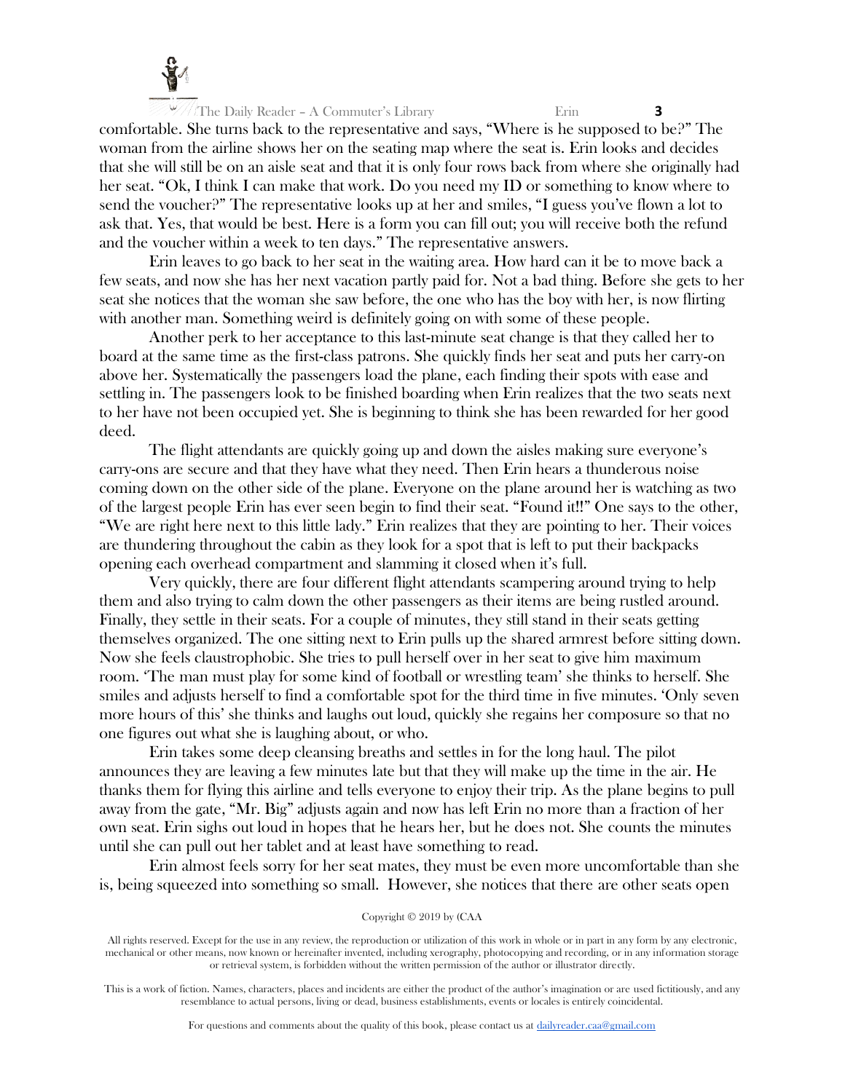

comfortable. She turns back to the representative and says, "Where is he supposed to be?" The woman from the airline shows her on the seating map where the seat is. Erin looks and decides that she will still be on an aisle seat and that it is only four rows back from where she originally had her seat. "Ok, I think I can make that work. Do you need my ID or something to know where to send the voucher?" The representative looks up at her and smiles, "I guess you've flown a lot to ask that. Yes, that would be best. Here is a form you can fill out; you will receive both the refund and the voucher within a week to ten days." The representative answers.

Erin leaves to go back to her seat in the waiting area. How hard can it be to move back a few seats, and now she has her next vacation partly paid for. Not a bad thing. Before she gets to her seat she notices that the woman she saw before, the one who has the boy with her, is now flirting with another man. Something weird is definitely going on with some of these people.

Another perk to her acceptance to this last-minute seat change is that they called her to board at the same time as the first-class patrons. She quickly finds her seat and puts her carry-on above her. Systematically the passengers load the plane, each finding their spots with ease and settling in. The passengers look to be finished boarding when Erin realizes that the two seats next to her have not been occupied yet. She is beginning to think she has been rewarded for her good deed.

The flight attendants are quickly going up and down the aisles making sure everyone's carry-ons are secure and that they have what they need. Then Erin hears a thunderous noise coming down on the other side of the plane. Everyone on the plane around her is watching as two of the largest people Erin has ever seen begin to find their seat. "Found it!!" One says to the other, "We are right here next to this little lady." Erin realizes that they are pointing to her. Their voices are thundering throughout the cabin as they look for a spot that is left to put their backpacks opening each overhead compartment and slamming it closed when it's full.

Very quickly, there are four different flight attendants scampering around trying to help them and also trying to calm down the other passengers as their items are being rustled around. Finally, they settle in their seats. For a couple of minutes, they still stand in their seats getting themselves organized. The one sitting next to Erin pulls up the shared armrest before sitting down. Now she feels claustrophobic. She tries to pull herself over in her seat to give him maximum room. 'The man must play for some kind of football or wrestling team' she thinks to herself. She smiles and adjusts herself to find a comfortable spot for the third time in five minutes. 'Only seven more hours of this' she thinks and laughs out loud, quickly she regains her composure so that no one figures out what she is laughing about, or who.

Erin takes some deep cleansing breaths and settles in for the long haul. The pilot announces they are leaving a few minutes late but that they will make up the time in the air. He thanks them for flying this airline and tells everyone to enjoy their trip. As the plane begins to pull away from the gate, "Mr. Big" adjusts again and now has left Erin no more than a fraction of her own seat. Erin sighs out loud in hopes that he hears her, but he does not. She counts the minutes until she can pull out her tablet and at least have something to read.

Erin almost feels sorry for her seat mates, they must be even more uncomfortable than she is, being squeezed into something so small. However, she notices that there are other seats open

#### Copyright © 2019 by (CAA

All rights reserved. Except for the use in any review, the reproduction or utilization of this work in whole or in part in any form by any electronic, mechanical or other means, now known or hereinafter invented, including xerography, photocopying and recording, or in any information storage or retrieval system, is forbidden without the written permission of the author or illustrator directly.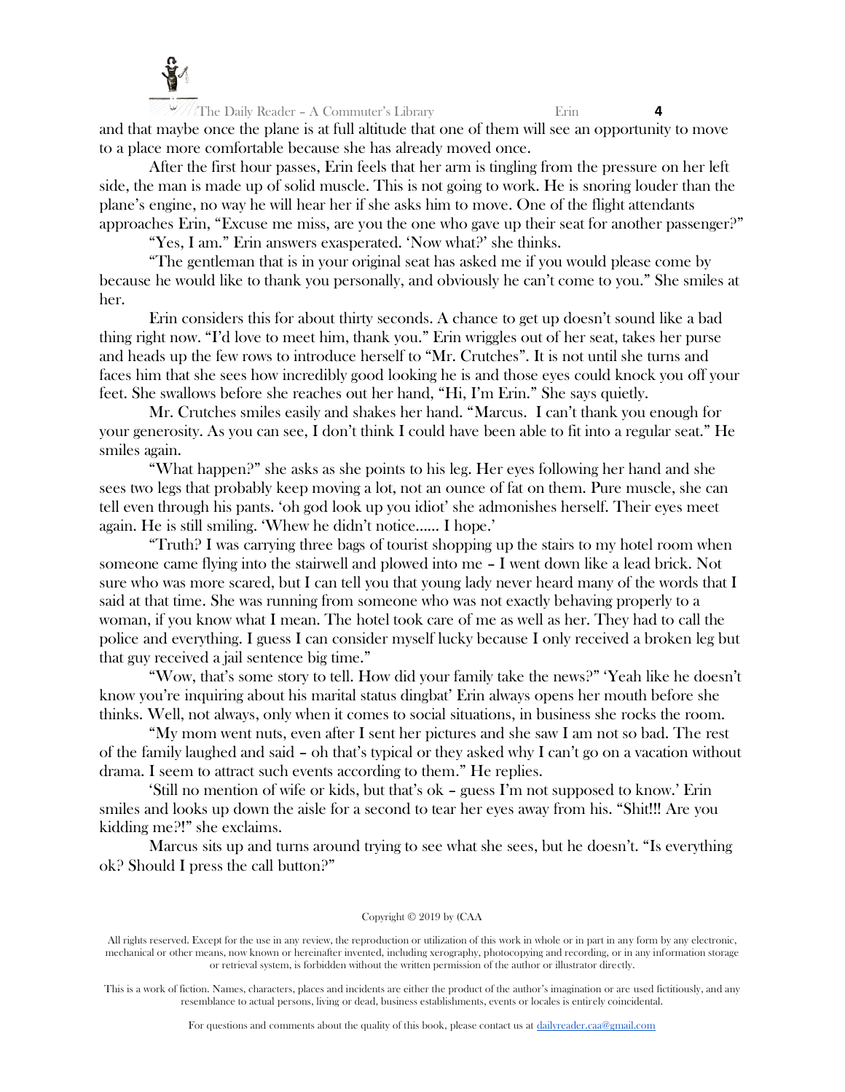

The Daily Reader – A Commuter's Library Erin **4** and that maybe once the plane is at full altitude that one of them will see an opportunity to move to a place more comfortable because she has already moved once.

After the first hour passes, Erin feels that her arm is tingling from the pressure on her left side, the man is made up of solid muscle. This is not going to work. He is snoring louder than the plane's engine, no way he will hear her if she asks him to move. One of the flight attendants approaches Erin, "Excuse me miss, are you the one who gave up their seat for another passenger?"

"Yes, I am." Erin answers exasperated. 'Now what?' she thinks.

"The gentleman that is in your original seat has asked me if you would please come by because he would like to thank you personally, and obviously he can't come to you." She smiles at her.

Erin considers this for about thirty seconds. A chance to get up doesn't sound like a bad thing right now. "I'd love to meet him, thank you." Erin wriggles out of her seat, takes her purse and heads up the few rows to introduce herself to "Mr. Crutches". It is not until she turns and faces him that she sees how incredibly good looking he is and those eyes could knock you off your feet. She swallows before she reaches out her hand, "Hi, I'm Erin." She says quietly.

Mr. Crutches smiles easily and shakes her hand. "Marcus. I can't thank you enough for your generosity. As you can see, I don't think I could have been able to fit into a regular seat." He smiles again.

"What happen?" she asks as she points to his leg. Her eyes following her hand and she sees two legs that probably keep moving a lot, not an ounce of fat on them. Pure muscle, she can tell even through his pants. 'oh god look up you idiot' she admonishes herself. Their eyes meet again. He is still smiling. 'Whew he didn't notice…… I hope.'

"Truth? I was carrying three bags of tourist shopping up the stairs to my hotel room when someone came flying into the stairwell and plowed into me – I went down like a lead brick. Not sure who was more scared, but I can tell you that young lady never heard many of the words that I said at that time. She was running from someone who was not exactly behaving properly to a woman, if you know what I mean. The hotel took care of me as well as her. They had to call the police and everything. I guess I can consider myself lucky because I only received a broken leg but that guy received a jail sentence big time."

"Wow, that's some story to tell. How did your family take the news?" 'Yeah like he doesn't know you're inquiring about his marital status dingbat' Erin always opens her mouth before she thinks. Well, not always, only when it comes to social situations, in business she rocks the room.

"My mom went nuts, even after I sent her pictures and she saw I am not so bad. The rest of the family laughed and said – oh that's typical or they asked why I can't go on a vacation without drama. I seem to attract such events according to them." He replies.

'Still no mention of wife or kids, but that's ok – guess I'm not supposed to know.' Erin smiles and looks up down the aisle for a second to tear her eyes away from his. "Shit!!! Are you kidding me?!" she exclaims.

Marcus sits up and turns around trying to see what she sees, but he doesn't. "Is everything ok? Should I press the call button?"

#### Copyright © 2019 by (CAA

All rights reserved. Except for the use in any review, the reproduction or utilization of this work in whole or in part in any form by any electronic, mechanical or other means, now known or hereinafter invented, including xerography, photocopying and recording, or in any information storage or retrieval system, is forbidden without the written permission of the author or illustrator directly.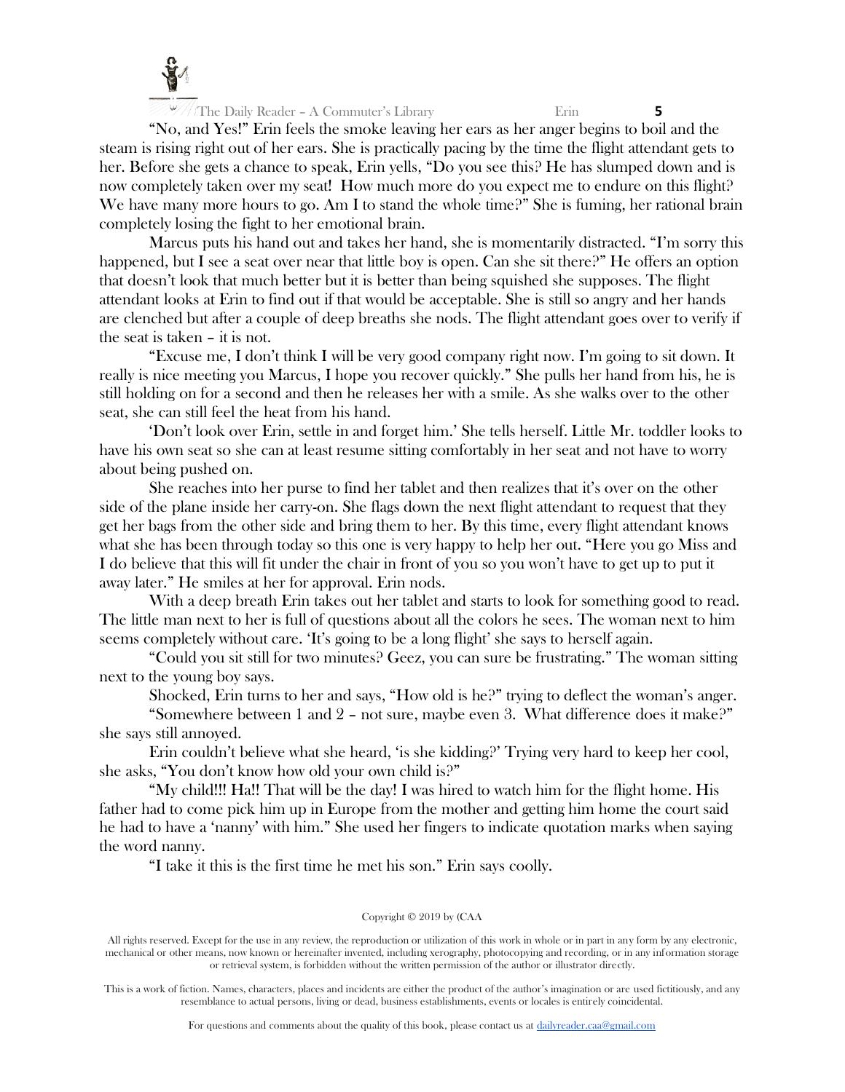

"No, and Yes!" Erin feels the smoke leaving her ears as her anger begins to boil and the steam is rising right out of her ears. She is practically pacing by the time the flight attendant gets to her. Before she gets a chance to speak, Erin yells, "Do you see this? He has slumped down and is now completely taken over my seat! How much more do you expect me to endure on this flight? We have many more hours to go. Am I to stand the whole time?" She is fuming, her rational brain completely losing the fight to her emotional brain.

Marcus puts his hand out and takes her hand, she is momentarily distracted. "I'm sorry this happened, but I see a seat over near that little boy is open. Can she sit there?" He offers an option that doesn't look that much better but it is better than being squished she supposes. The flight attendant looks at Erin to find out if that would be acceptable. She is still so angry and her hands are clenched but after a couple of deep breaths she nods. The flight attendant goes over to verify if the seat is taken – it is not.

"Excuse me, I don't think I will be very good company right now. I'm going to sit down. It really is nice meeting you Marcus, I hope you recover quickly." She pulls her hand from his, he is still holding on for a second and then he releases her with a smile. As she walks over to the other seat, she can still feel the heat from his hand.

'Don't look over Erin, settle in and forget him.' She tells herself. Little Mr. toddler looks to have his own seat so she can at least resume sitting comfortably in her seat and not have to worry about being pushed on.

She reaches into her purse to find her tablet and then realizes that it's over on the other side of the plane inside her carry-on. She flags down the next flight attendant to request that they get her bags from the other side and bring them to her. By this time, every flight attendant knows what she has been through today so this one is very happy to help her out. "Here you go Miss and I do believe that this will fit under the chair in front of you so you won't have to get up to put it away later." He smiles at her for approval. Erin nods.

With a deep breath Erin takes out her tablet and starts to look for something good to read. The little man next to her is full of questions about all the colors he sees. The woman next to him seems completely without care. 'It's going to be a long flight' she says to herself again.

"Could you sit still for two minutes? Geez, you can sure be frustrating." The woman sitting next to the young boy says.

Shocked, Erin turns to her and says, "How old is he?" trying to deflect the woman's anger.

"Somewhere between 1 and 2 – not sure, maybe even 3. What difference does it make?" she says still annoyed.

Erin couldn't believe what she heard, 'is she kidding?' Trying very hard to keep her cool, she asks, "You don't know how old your own child is?"

"My child!!! Ha!! That will be the day! I was hired to watch him for the flight home. His father had to come pick him up in Europe from the mother and getting him home the court said he had to have a 'nanny' with him." She used her fingers to indicate quotation marks when saying the word nanny.

"I take it this is the first time he met his son." Erin says coolly.

# Copyright © 2019 by (CAA

All rights reserved. Except for the use in any review, the reproduction or utilization of this work in whole or in part in any form by any electronic, mechanical or other means, now known or hereinafter invented, including xerography, photocopying and recording, or in any information storage or retrieval system, is forbidden without the written permission of the author or illustrator directly.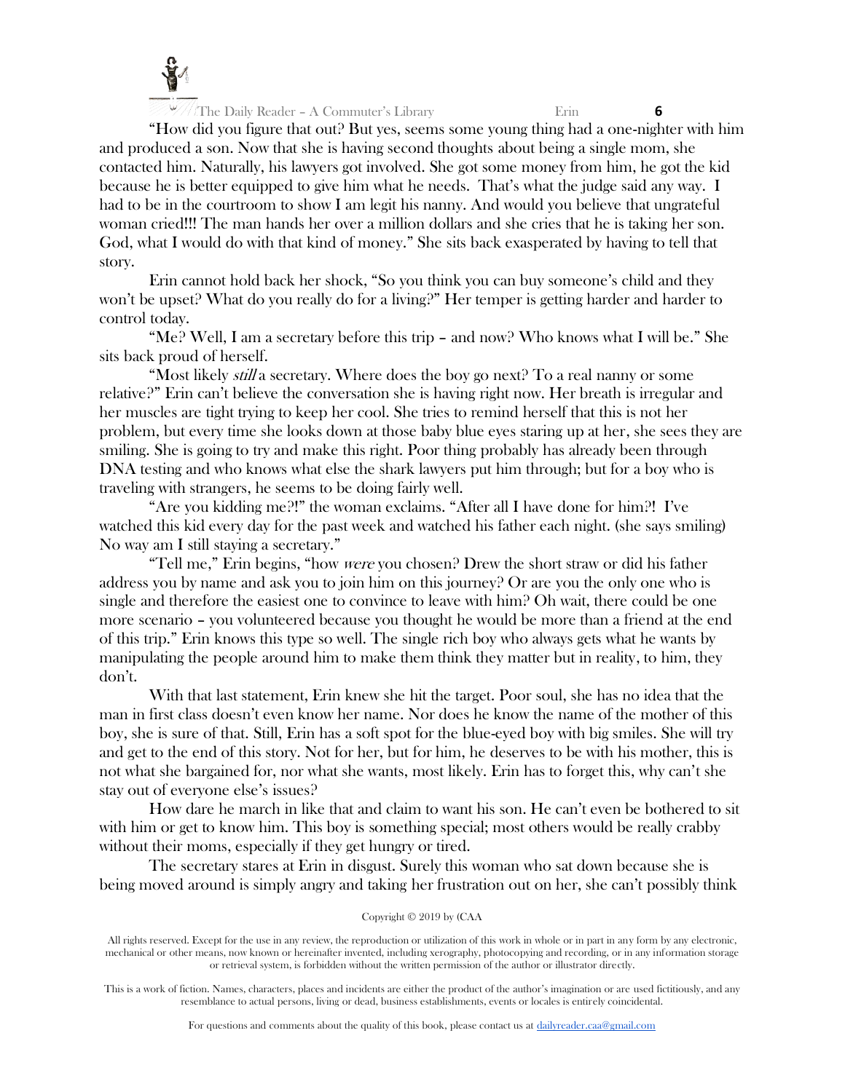

"How did you figure that out? But yes, seems some young thing had a one-nighter with him and produced a son. Now that she is having second thoughts about being a single mom, she contacted him. Naturally, his lawyers got involved. She got some money from him, he got the kid because he is better equipped to give him what he needs. That's what the judge said any way. I had to be in the courtroom to show I am legit his nanny. And would you believe that ungrateful woman cried!!! The man hands her over a million dollars and she cries that he is taking her son. God, what I would do with that kind of money." She sits back exasperated by having to tell that story.

Erin cannot hold back her shock, "So you think you can buy someone's child and they won't be upset? What do you really do for a living?" Her temper is getting harder and harder to control today.

"Me? Well, I am a secretary before this trip – and now? Who knows what I will be." She sits back proud of herself.

"Most likely *still* a secretary. Where does the boy go next? To a real nanny or some relative?" Erin can't believe the conversation she is having right now. Her breath is irregular and her muscles are tight trying to keep her cool. She tries to remind herself that this is not her problem, but every time she looks down at those baby blue eyes staring up at her, she sees they are smiling. She is going to try and make this right. Poor thing probably has already been through DNA testing and who knows what else the shark lawyers put him through; but for a boy who is traveling with strangers, he seems to be doing fairly well.

"Are you kidding me?!" the woman exclaims. "After all I have done for him?! I've watched this kid every day for the past week and watched his father each night. (she says smiling) No way am I still staying a secretary."

"Tell me," Erin begins, "how were you chosen? Drew the short straw or did his father address you by name and ask you to join him on this journey? Or are you the only one who is single and therefore the easiest one to convince to leave with him? Oh wait, there could be one more scenario – you volunteered because you thought he would be more than a friend at the end of this trip." Erin knows this type so well. The single rich boy who always gets what he wants by manipulating the people around him to make them think they matter but in reality, to him, they don't.

With that last statement, Erin knew she hit the target. Poor soul, she has no idea that the man in first class doesn't even know her name. Nor does he know the name of the mother of this boy, she is sure of that. Still, Erin has a soft spot for the blue-eyed boy with big smiles. She will try and get to the end of this story. Not for her, but for him, he deserves to be with his mother, this is not what she bargained for, nor what she wants, most likely. Erin has to forget this, why can't she stay out of everyone else's issues?

How dare he march in like that and claim to want his son. He can't even be bothered to sit with him or get to know him. This boy is something special; most others would be really crabby without their moms, especially if they get hungry or tired.

The secretary stares at Erin in disgust. Surely this woman who sat down because she is being moved around is simply angry and taking her frustration out on her, she can't possibly think

# Copyright © 2019 by (CAA

All rights reserved. Except for the use in any review, the reproduction or utilization of this work in whole or in part in any form by any electronic, mechanical or other means, now known or hereinafter invented, including xerography, photocopying and recording, or in any information storage or retrieval system, is forbidden without the written permission of the author or illustrator directly.

This is a work of fiction. Names, characters, places and incidents are either the product of the author's imagination or are used fictitiously, and any resemblance to actual persons, living or dead, business establishments, events or locales is entirely coincidental.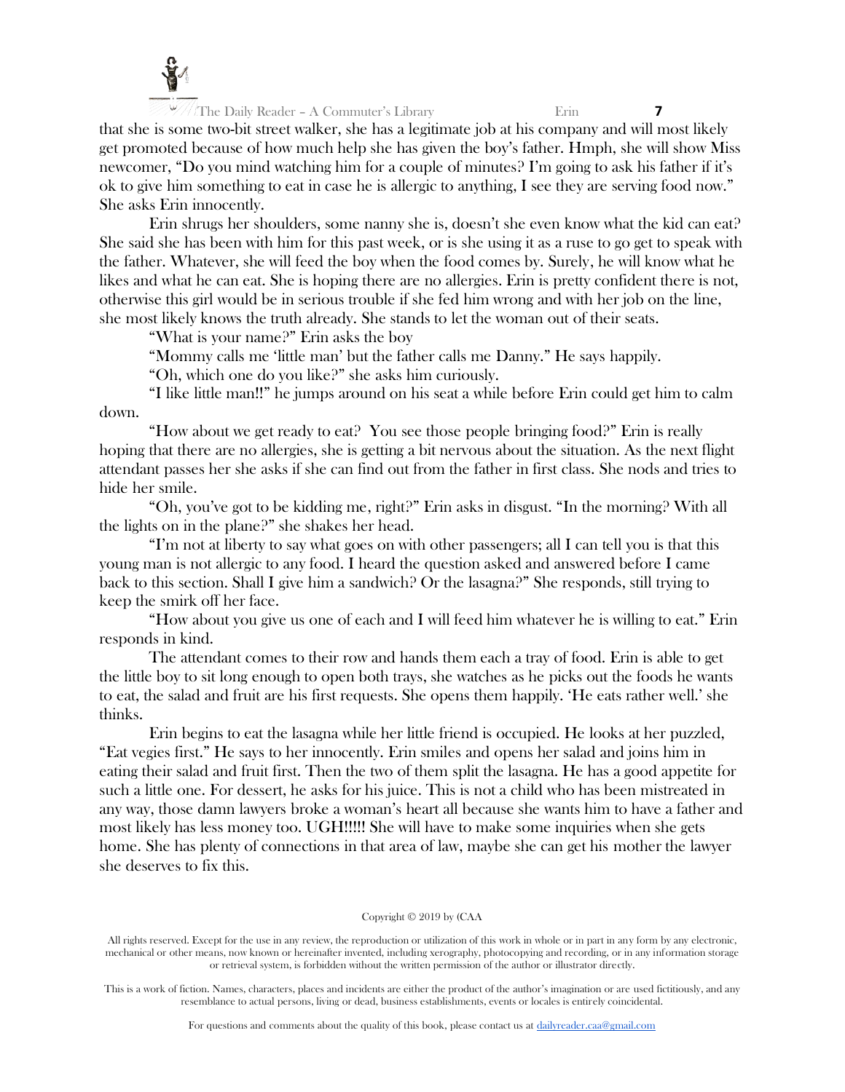

that she is some two-bit street walker, she has a legitimate job at his company and will most likely get promoted because of how much help she has given the boy's father. Hmph, she will show Miss newcomer, "Do you mind watching him for a couple of minutes? I'm going to ask his father if it's ok to give him something to eat in case he is allergic to anything, I see they are serving food now." She asks Erin innocently.

Erin shrugs her shoulders, some nanny she is, doesn't she even know what the kid can eat? She said she has been with him for this past week, or is she using it as a ruse to go get to speak with the father. Whatever, she will feed the boy when the food comes by. Surely, he will know what he likes and what he can eat. She is hoping there are no allergies. Erin is pretty confident there is not, otherwise this girl would be in serious trouble if she fed him wrong and with her job on the line, she most likely knows the truth already. She stands to let the woman out of their seats.

"What is your name?" Erin asks the boy

"Mommy calls me 'little man' but the father calls me Danny." He says happily.

"Oh, which one do you like?" she asks him curiously.

"I like little man!!" he jumps around on his seat a while before Erin could get him to calm down.

"How about we get ready to eat? You see those people bringing food?" Erin is really hoping that there are no allergies, she is getting a bit nervous about the situation. As the next flight attendant passes her she asks if she can find out from the father in first class. She nods and tries to hide her smile.

"Oh, you've got to be kidding me, right?" Erin asks in disgust. "In the morning? With all the lights on in the plane?" she shakes her head.

"I'm not at liberty to say what goes on with other passengers; all I can tell you is that this young man is not allergic to any food. I heard the question asked and answered before I came back to this section. Shall I give him a sandwich? Or the lasagna?" She responds, still trying to keep the smirk off her face.

"How about you give us one of each and I will feed him whatever he is willing to eat." Erin responds in kind.

The attendant comes to their row and hands them each a tray of food. Erin is able to get the little boy to sit long enough to open both trays, she watches as he picks out the foods he wants to eat, the salad and fruit are his first requests. She opens them happily. 'He eats rather well.' she thinks.

Erin begins to eat the lasagna while her little friend is occupied. He looks at her puzzled, "Eat vegies first." He says to her innocently. Erin smiles and opens her salad and joins him in eating their salad and fruit first. Then the two of them split the lasagna. He has a good appetite for such a little one. For dessert, he asks for his juice. This is not a child who has been mistreated in any way, those damn lawyers broke a woman's heart all because she wants him to have a father and most likely has less money too. UGH!!!!! She will have to make some inquiries when she gets home. She has plenty of connections in that area of law, maybe she can get his mother the lawyer she deserves to fix this.

# Copyright © 2019 by (CAA

All rights reserved. Except for the use in any review, the reproduction or utilization of this work in whole or in part in any form by any electronic, mechanical or other means, now known or hereinafter invented, including xerography, photocopying and recording, or in any information storage or retrieval system, is forbidden without the written permission of the author or illustrator directly.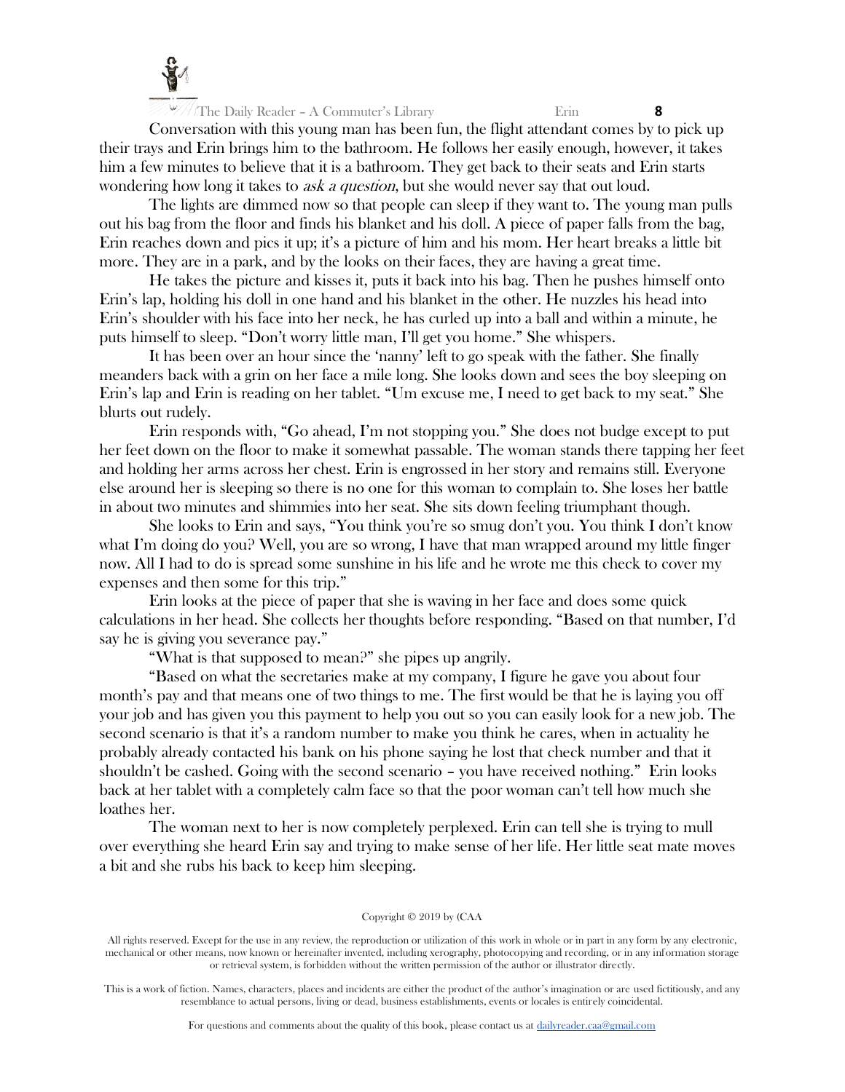

Conversation with this young man has been fun, the flight attendant comes by to pick up their trays and Erin brings him to the bathroom. He follows her easily enough, however, it takes him a few minutes to believe that it is a bathroom. They get back to their seats and Erin starts wondering how long it takes to *ask a question*, but she would never say that out loud.

The lights are dimmed now so that people can sleep if they want to. The young man pulls out his bag from the floor and finds his blanket and his doll. A piece of paper falls from the bag, Erin reaches down and pics it up; it's a picture of him and his mom. Her heart breaks a little bit more. They are in a park, and by the looks on their faces, they are having a great time.

He takes the picture and kisses it, puts it back into his bag. Then he pushes himself onto Erin's lap, holding his doll in one hand and his blanket in the other. He nuzzles his head into Erin's shoulder with his face into her neck, he has curled up into a ball and within a minute, he puts himself to sleep. "Don't worry little man, I'll get you home." She whispers.

It has been over an hour since the 'nanny' left to go speak with the father. She finally meanders back with a grin on her face a mile long. She looks down and sees the boy sleeping on Erin's lap and Erin is reading on her tablet. "Um excuse me, I need to get back to my seat." She blurts out rudely.

Erin responds with, "Go ahead, I'm not stopping you." She does not budge except to put her feet down on the floor to make it somewhat passable. The woman stands there tapping her feet and holding her arms across her chest. Erin is engrossed in her story and remains still. Everyone else around her is sleeping so there is no one for this woman to complain to. She loses her battle in about two minutes and shimmies into her seat. She sits down feeling triumphant though.

She looks to Erin and says, "You think you're so smug don't you. You think I don't know what I'm doing do you? Well, you are so wrong, I have that man wrapped around my little finger now. All I had to do is spread some sunshine in his life and he wrote me this check to cover my expenses and then some for this trip."

Erin looks at the piece of paper that she is waving in her face and does some quick calculations in her head. She collects her thoughts before responding. "Based on that number, I'd say he is giving you severance pay."

"What is that supposed to mean?" she pipes up angrily.

"Based on what the secretaries make at my company, I figure he gave you about four month's pay and that means one of two things to me. The first would be that he is laying you off your job and has given you this payment to help you out so you can easily look for a new job. The second scenario is that it's a random number to make you think he cares, when in actuality he probably already contacted his bank on his phone saying he lost that check number and that it shouldn't be cashed. Going with the second scenario – you have received nothing." Erin looks back at her tablet with a completely calm face so that the poor woman can't tell how much she loathes her.

The woman next to her is now completely perplexed. Erin can tell she is trying to mull over everything she heard Erin say and trying to make sense of her life. Her little seat mate moves a bit and she rubs his back to keep him sleeping.

#### Copyright © 2019 by (CAA

All rights reserved. Except for the use in any review, the reproduction or utilization of this work in whole or in part in any form by any electronic, mechanical or other means, now known or hereinafter invented, including xerography, photocopying and recording, or in any information storage or retrieval system, is forbidden without the written permission of the author or illustrator directly.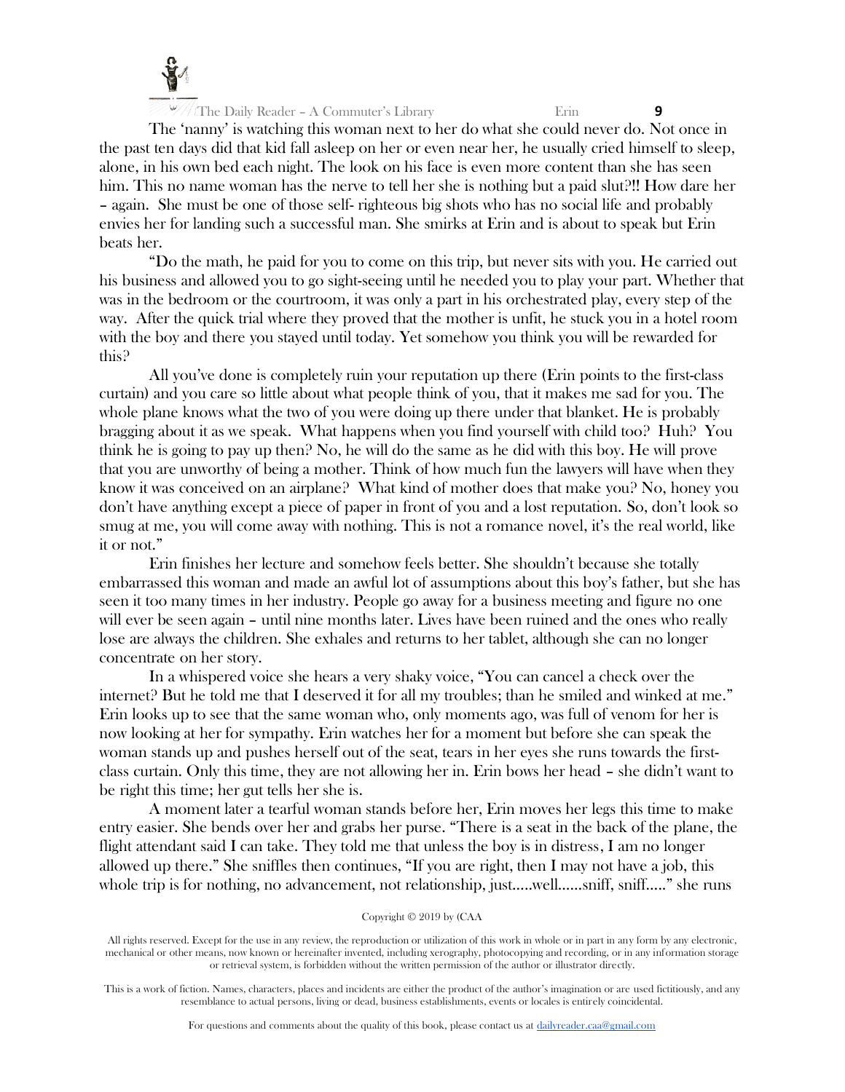

The 'nanny' is watching this woman next to her do what she could never do. Not once in the past ten days did that kid fall asleep on her or even near her, he usually cried himself to sleep, alone, in his own bed each night. The look on his face is even more content than she has seen him. This no name woman has the nerve to tell her she is nothing but a paid slut?!! How dare her – again. She must be one of those self- righteous big shots who has no social life and probably envies her for landing such a successful man. She smirks at Erin and is about to speak but Erin beats her.

"Do the math, he paid for you to come on this trip, but never sits with you. He carried out his business and allowed you to go sight-seeing until he needed you to play your part. Whether that was in the bedroom or the courtroom, it was only a part in his orchestrated play, every step of the way. After the quick trial where they proved that the mother is unfit, he stuck you in a hotel room with the boy and there you stayed until today. Yet somehow you think you will be rewarded for this?

All you've done is completely ruin your reputation up there (Erin points to the first-class curtain) and you care so little about what people think of you, that it makes me sad for you. The whole plane knows what the two of you were doing up there under that blanket. He is probably bragging about it as we speak. What happens when you find yourself with child too? Huh? You think he is going to pay up then? No, he will do the same as he did with this boy. He will prove that you are unworthy of being a mother. Think of how much fun the lawyers will have when they know it was conceived on an airplane? What kind of mother does that make you? No, honey you don't have anything except a piece of paper in front of you and a lost reputation. So, don't look so smug at me, you will come away with nothing. This is not a romance novel, it's the real world, like it or not."

Erin finishes her lecture and somehow feels better. She shouldn't because she totally embarrassed this woman and made an awful lot of assumptions about this boy's father, but she has seen it too many times in her industry. People go away for a business meeting and figure no one will ever be seen again – until nine months later. Lives have been ruined and the ones who really lose are always the children. She exhales and returns to her tablet, although she can no longer concentrate on her story.

In a whispered voice she hears a very shaky voice, "You can cancel a check over the internet? But he told me that I deserved it for all my troubles; than he smiled and winked at me." Erin looks up to see that the same woman who, only moments ago, was full of venom for her is now looking at her for sympathy. Erin watches her for a moment but before she can speak the woman stands up and pushes herself out of the seat, tears in her eyes she runs towards the firstclass curtain. Only this time, they are not allowing her in. Erin bows her head – she didn't want to be right this time; her gut tells her she is.

A moment later a tearful woman stands before her, Erin moves her legs this time to make entry easier. She bends over her and grabs her purse. "There is a seat in the back of the plane, the flight attendant said I can take. They told me that unless the boy is in distress, I am no longer allowed up there." She sniffles then continues, "If you are right, then I may not have a job, this whole trip is for nothing, no advancement, not relationship, just…..well……sniff, sniff….." she runs

#### Copyright © 2019 by (CAA

All rights reserved. Except for the use in any review, the reproduction or utilization of this work in whole or in part in any form by any electronic, mechanical or other means, now known or hereinafter invented, including xerography, photocopying and recording, or in any information storage or retrieval system, is forbidden without the written permission of the author or illustrator directly.

This is a work of fiction. Names, characters, places and incidents are either the product of the author's imagination or are used fictitiously, and any resemblance to actual persons, living or dead, business establishments, events or locales is entirely coincidental.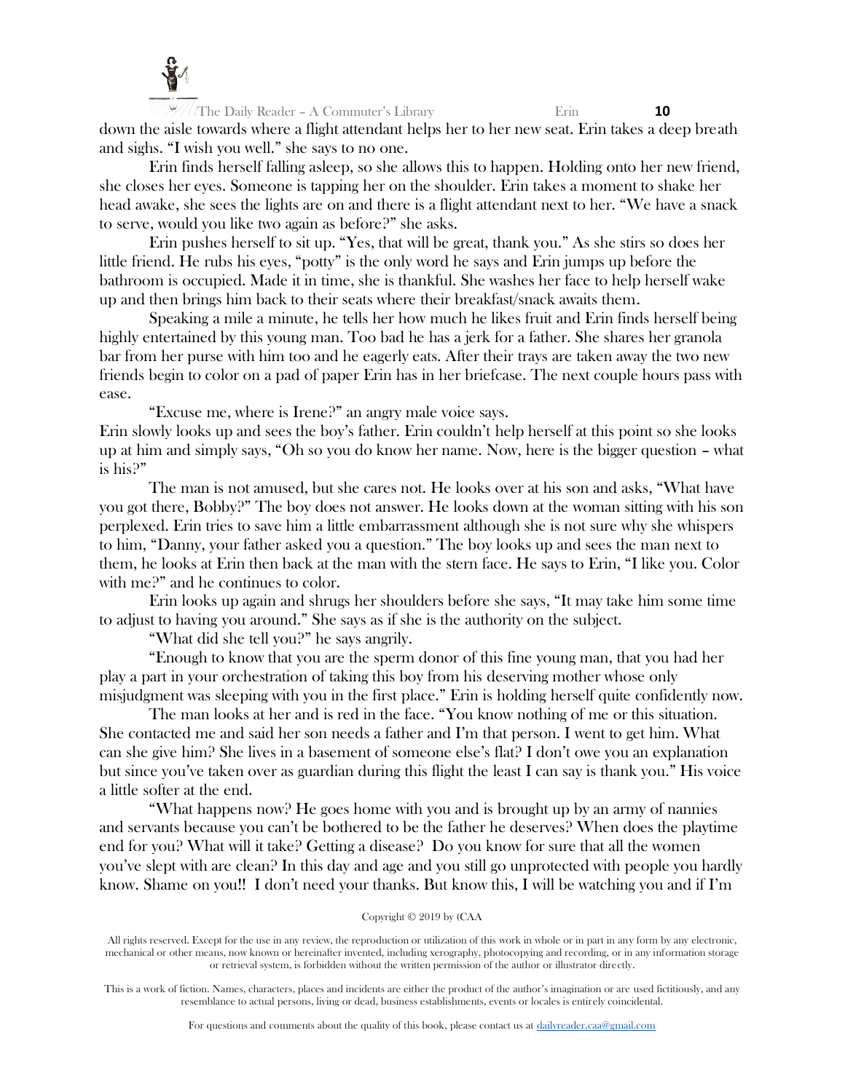

The Daily Reader – A Commuter's Library Erin **10** down the aisle towards where a flight attendant helps her to her new seat. Erin takes a deep breath and sighs. "I wish you well." she says to no one.

Erin finds herself falling asleep, so she allows this to happen. Holding onto her new friend, she closes her eyes. Someone is tapping her on the shoulder. Erin takes a moment to shake her head awake, she sees the lights are on and there is a flight attendant next to her. "We have a snack to serve, would you like two again as before?" she asks.

Erin pushes herself to sit up. "Yes, that will be great, thank you." As she stirs so does her little friend. He rubs his eyes, "potty" is the only word he says and Erin jumps up before the bathroom is occupied. Made it in time, she is thankful. She washes her face to help herself wake up and then brings him back to their seats where their breakfast/snack awaits them.

Speaking a mile a minute, he tells her how much he likes fruit and Erin finds herself being highly entertained by this young man. Too bad he has a jerk for a father. She shares her granola bar from her purse with him too and he eagerly eats. After their trays are taken away the two new friends begin to color on a pad of paper Erin has in her briefcase. The next couple hours pass with ease.

"Excuse me, where is Irene?" an angry male voice says.

Erin slowly looks up and sees the boy's father. Erin couldn't help herself at this point so she looks up at him and simply says, "Oh so you do know her name. Now, here is the bigger question – what is his?"

The man is not amused, but she cares not. He looks over at his son and asks, "What have you got there, Bobby?" The boy does not answer. He looks down at the woman sitting with his son perplexed. Erin tries to save him a little embarrassment although she is not sure why she whispers to him, "Danny, your father asked you a question." The boy looks up and sees the man next to them, he looks at Erin then back at the man with the stern face. He says to Erin, "I like you. Color with me?" and he continues to color.

Erin looks up again and shrugs her shoulders before she says, "It may take him some time to adjust to having you around." She says as if she is the authority on the subject.

"What did she tell you?" he says angrily.

"Enough to know that you are the sperm donor of this fine young man, that you had her play a part in your orchestration of taking this boy from his deserving mother whose only misjudgment was sleeping with you in the first place." Erin is holding herself quite confidently now.

The man looks at her and is red in the face. "You know nothing of me or this situation. She contacted me and said her son needs a father and I'm that person. I went to get him. What can she give him? She lives in a basement of someone else's flat? I don't owe you an explanation but since you've taken over as guardian during this flight the least I can say is thank you." His voice a little softer at the end.

"What happens now? He goes home with you and is brought up by an army of nannies and servants because you can't be bothered to be the father he deserves? When does the playtime end for you? What will it take? Getting a disease? Do you know for sure that all the women you've slept with are clean? In this day and age and you still go unprotected with people you hardly know. Shame on you!! I don't need your thanks. But know this, I will be watching you and if I'm

# Copyright © 2019 by (CAA

All rights reserved. Except for the use in any review, the reproduction or utilization of this work in whole or in part in any form by any electronic, mechanical or other means, now known or hereinafter invented, including xerography, photocopying and recording, or in any information storage or retrieval system, is forbidden without the written permission of the author or illustrator directly.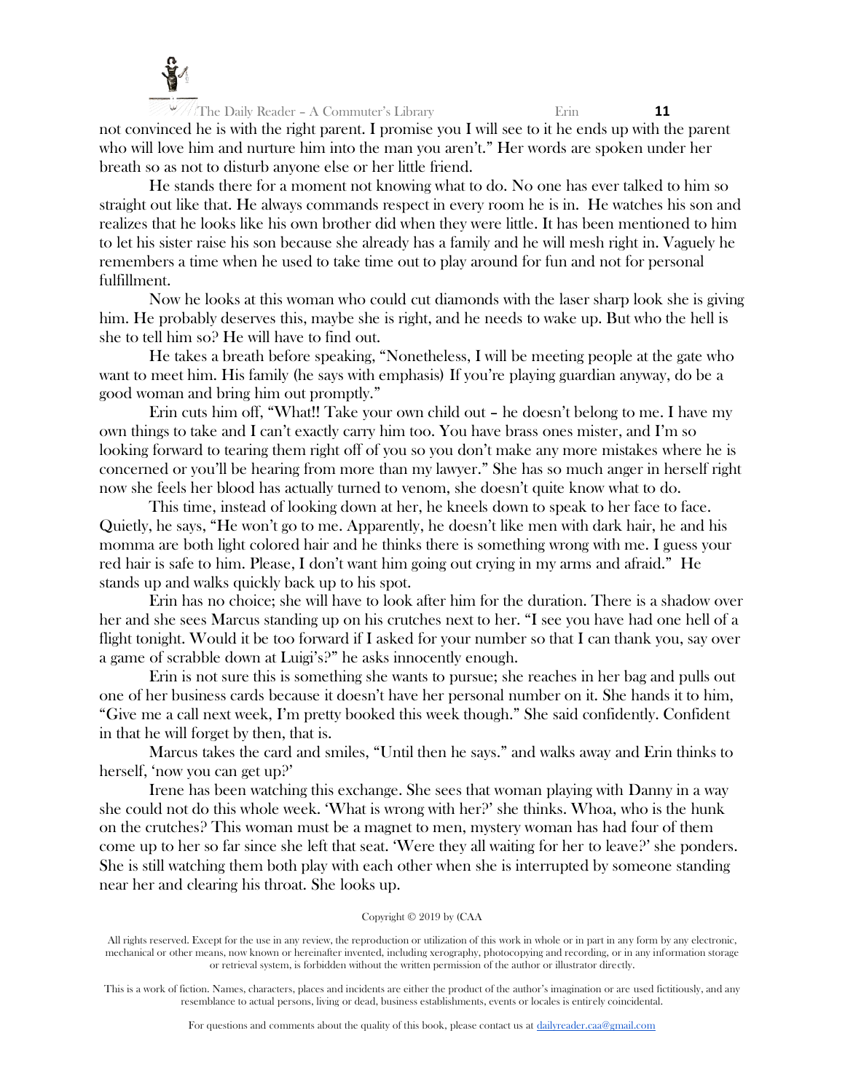

The Daily Reader – A Commuter's Library Erin **11** not convinced he is with the right parent. I promise you I will see to it he ends up with the parent who will love him and nurture him into the man you aren't." Her words are spoken under her breath so as not to disturb anyone else or her little friend.

He stands there for a moment not knowing what to do. No one has ever talked to him so straight out like that. He always commands respect in every room he is in. He watches his son and realizes that he looks like his own brother did when they were little. It has been mentioned to him to let his sister raise his son because she already has a family and he will mesh right in. Vaguely he remembers a time when he used to take time out to play around for fun and not for personal fulfillment.

Now he looks at this woman who could cut diamonds with the laser sharp look she is giving him. He probably deserves this, maybe she is right, and he needs to wake up. But who the hell is she to tell him so? He will have to find out.

He takes a breath before speaking, "Nonetheless, I will be meeting people at the gate who want to meet him. His family (he says with emphasis) If you're playing guardian anyway, do be a good woman and bring him out promptly."

Erin cuts him off, "What!! Take your own child out – he doesn't belong to me. I have my own things to take and I can't exactly carry him too. You have brass ones mister, and I'm so looking forward to tearing them right off of you so you don't make any more mistakes where he is concerned or you'll be hearing from more than my lawyer." She has so much anger in herself right now she feels her blood has actually turned to venom, she doesn't quite know what to do.

This time, instead of looking down at her, he kneels down to speak to her face to face. Quietly, he says, "He won't go to me. Apparently, he doesn't like men with dark hair, he and his momma are both light colored hair and he thinks there is something wrong with me. I guess your red hair is safe to him. Please, I don't want him going out crying in my arms and afraid." He stands up and walks quickly back up to his spot.

Erin has no choice; she will have to look after him for the duration. There is a shadow over her and she sees Marcus standing up on his crutches next to her. "I see you have had one hell of a flight tonight. Would it be too forward if I asked for your number so that I can thank you, say over a game of scrabble down at Luigi's?" he asks innocently enough.

Erin is not sure this is something she wants to pursue; she reaches in her bag and pulls out one of her business cards because it doesn't have her personal number on it. She hands it to him, "Give me a call next week, I'm pretty booked this week though." She said confidently. Confident in that he will forget by then, that is.

Marcus takes the card and smiles, "Until then he says." and walks away and Erin thinks to herself, 'now you can get up?'

Irene has been watching this exchange. She sees that woman playing with Danny in a way she could not do this whole week. 'What is wrong with her?' she thinks. Whoa, who is the hunk on the crutches? This woman must be a magnet to men, mystery woman has had four of them come up to her so far since she left that seat. 'Were they all waiting for her to leave?' she ponders. She is still watching them both play with each other when she is interrupted by someone standing near her and clearing his throat. She looks up.

#### Copyright © 2019 by (CAA

All rights reserved. Except for the use in any review, the reproduction or utilization of this work in whole or in part in any form by any electronic, mechanical or other means, now known or hereinafter invented, including xerography, photocopying and recording, or in any information storage or retrieval system, is forbidden without the written permission of the author or illustrator directly.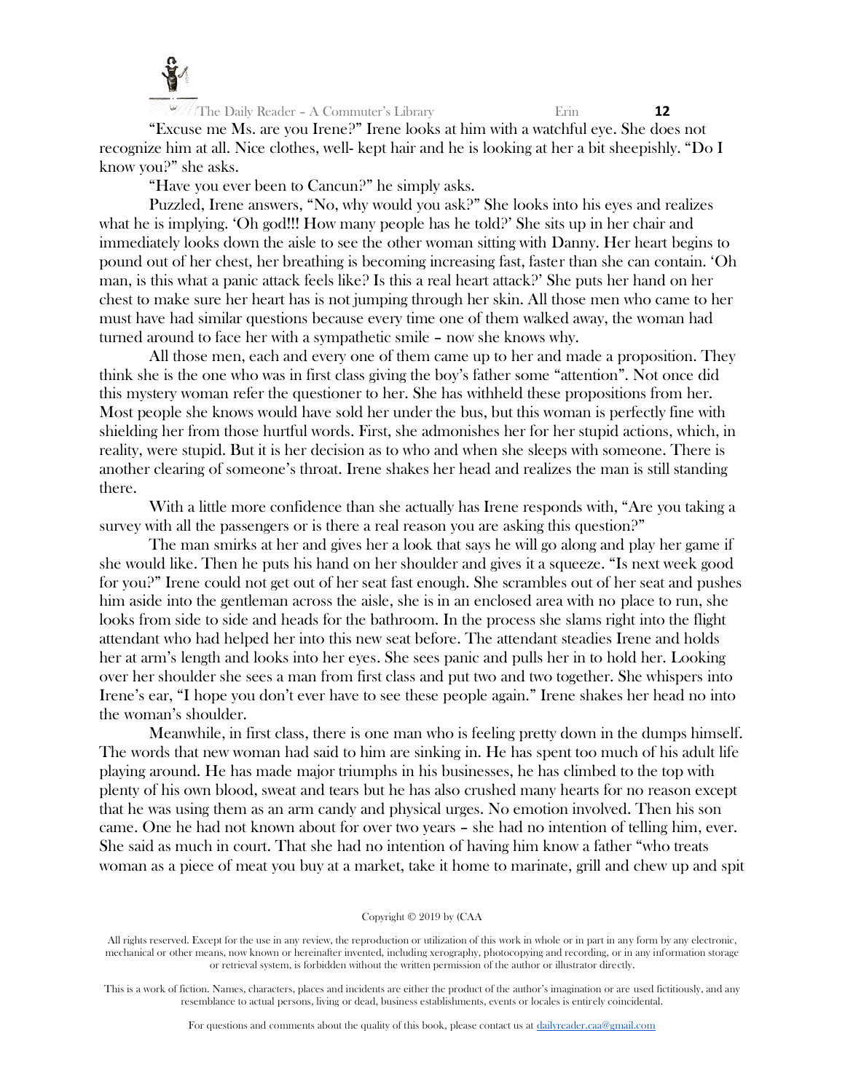

The Daily Reader – A Commuter's Library Erin **12**

"Excuse me Ms. are you Irene?" Irene looks at him with a watchful eye. She does not recognize him at all. Nice clothes, well- kept hair and he is looking at her a bit sheepishly. "Do I know you?" she asks.

"Have you ever been to Cancun?" he simply asks.

Puzzled, Irene answers, "No, why would you ask?" She looks into his eyes and realizes what he is implying. 'Oh god!!! How many people has he told?' She sits up in her chair and immediately looks down the aisle to see the other woman sitting with Danny. Her heart begins to pound out of her chest, her breathing is becoming increasing fast, faster than she can contain. 'Oh man, is this what a panic attack feels like? Is this a real heart attack?' She puts her hand on her chest to make sure her heart has is not jumping through her skin. All those men who came to her must have had similar questions because every time one of them walked away, the woman had turned around to face her with a sympathetic smile – now she knows why.

All those men, each and every one of them came up to her and made a proposition. They think she is the one who was in first class giving the boy's father some "attention". Not once did this mystery woman refer the questioner to her. She has withheld these propositions from her. Most people she knows would have sold her under the bus, but this woman is perfectly fine with shielding her from those hurtful words. First, she admonishes her for her stupid actions, which, in reality, were stupid. But it is her decision as to who and when she sleeps with someone. There is another clearing of someone's throat. Irene shakes her head and realizes the man is still standing there.

With a little more confidence than she actually has Irene responds with, "Are you taking a survey with all the passengers or is there a real reason you are asking this question?"

The man smirks at her and gives her a look that says he will go along and play her game if she would like. Then he puts his hand on her shoulder and gives it a squeeze. "Is next week good for you?" Irene could not get out of her seat fast enough. She scrambles out of her seat and pushes him aside into the gentleman across the aisle, she is in an enclosed area with no place to run, she looks from side to side and heads for the bathroom. In the process she slams right into the flight attendant who had helped her into this new seat before. The attendant steadies Irene and holds her at arm's length and looks into her eyes. She sees panic and pulls her in to hold her. Looking over her shoulder she sees a man from first class and put two and two together. She whispers into Irene's ear, "I hope you don't ever have to see these people again." Irene shakes her head no into the woman's shoulder.

Meanwhile, in first class, there is one man who is feeling pretty down in the dumps himself. The words that new woman had said to him are sinking in. He has spent too much of his adult life playing around. He has made major triumphs in his businesses, he has climbed to the top with plenty of his own blood, sweat and tears but he has also crushed many hearts for no reason except that he was using them as an arm candy and physical urges. No emotion involved. Then his son came. One he had not known about for over two years – she had no intention of telling him, ever. She said as much in court. That she had no intention of having him know a father "who treats woman as a piece of meat you buy at a market, take it home to marinate, grill and chew up and spit

#### Copyright © 2019 by (CAA

All rights reserved. Except for the use in any review, the reproduction or utilization of this work in whole or in part in any form by any electronic, mechanical or other means, now known or hereinafter invented, including xerography, photocopying and recording, or in any information storage or retrieval system, is forbidden without the written permission of the author or illustrator directly.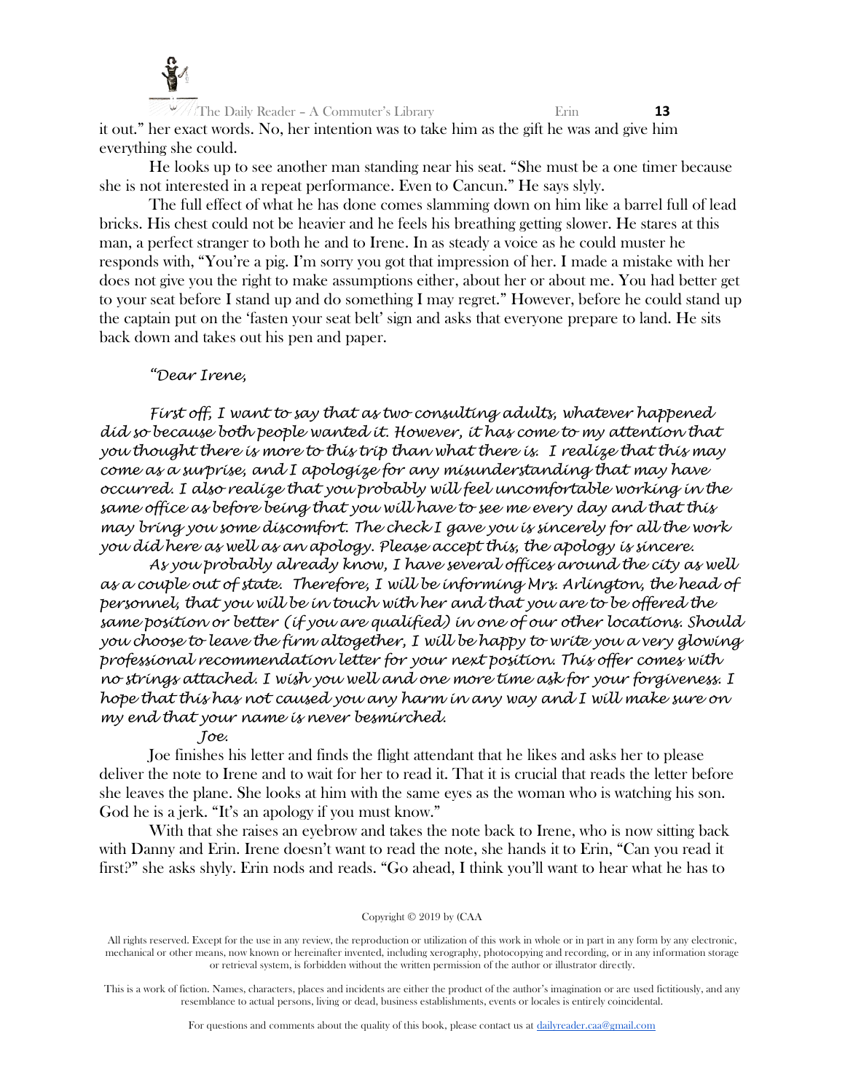

The Daily Reader – A Commuter's Library Erin **13** it out." her exact words. No, her intention was to take him as the gift he was and give him everything she could.

He looks up to see another man standing near his seat. "She must be a one timer because she is not interested in a repeat performance. Even to Cancun." He says slyly.

The full effect of what he has done comes slamming down on him like a barrel full of lead bricks. His chest could not be heavier and he feels his breathing getting slower. He stares at this man, a perfect stranger to both he and to Irene. In as steady a voice as he could muster he responds with, "You're a pig. I'm sorry you got that impression of her. I made a mistake with her does not give you the right to make assumptions either, about her or about me. You had better get to your seat before I stand up and do something I may regret." However, before he could stand up the captain put on the 'fasten your seat belt' sign and asks that everyone prepare to land. He sits back down and takes out his pen and paper.

# *"Dear Irene,*

*First off, I want to say that as two consulting adults, whatever happened did so because both people wanted it. However, it has come to my attention that you thought there is more to this trip than what there is. I realize that this may come as a surprise, and I apologize for any misunderstanding that may have occurred. I also realize that you probably will feel uncomfortable working in the same office as before being that you will have to see me every day and that this may bring you some discomfort. The check I gave you is sincerely for all the work you did here as well as an apology. Please accept this, the apology is sincere.*

*As you probably already know, I have several offices around the city as well as a couple out of state. Therefore, I will be informing Mrs. Arlington, the head of personnel, that you will be in touch with her and that you are to be offered the same position or better (if you are qualified) in one of our other locations. Should you choose to leave the firm altogether, I will be happy to write you a very glowing professional recommendation letter for your next position. This offer comes with no strings attached. I wish you well and one more time ask for your forgiveness. I hope that this has not caused you any harm in any way and I will make sure on my end that your name is never besmirched.* 

# *Joe.*

Joe finishes his letter and finds the flight attendant that he likes and asks her to please deliver the note to Irene and to wait for her to read it. That it is crucial that reads the letter before she leaves the plane. She looks at him with the same eyes as the woman who is watching his son. God he is a jerk. "It's an apology if you must know."

With that she raises an eyebrow and takes the note back to Irene, who is now sitting back with Danny and Erin. Irene doesn't want to read the note, she hands it to Erin, "Can you read it first?" she asks shyly. Erin nods and reads. "Go ahead, I think you'll want to hear what he has to

#### Copyright © 2019 by (CAA

All rights reserved. Except for the use in any review, the reproduction or utilization of this work in whole or in part in any form by any electronic, mechanical or other means, now known or hereinafter invented, including xerography, photocopying and recording, or in any information storage or retrieval system, is forbidden without the written permission of the author or illustrator directly.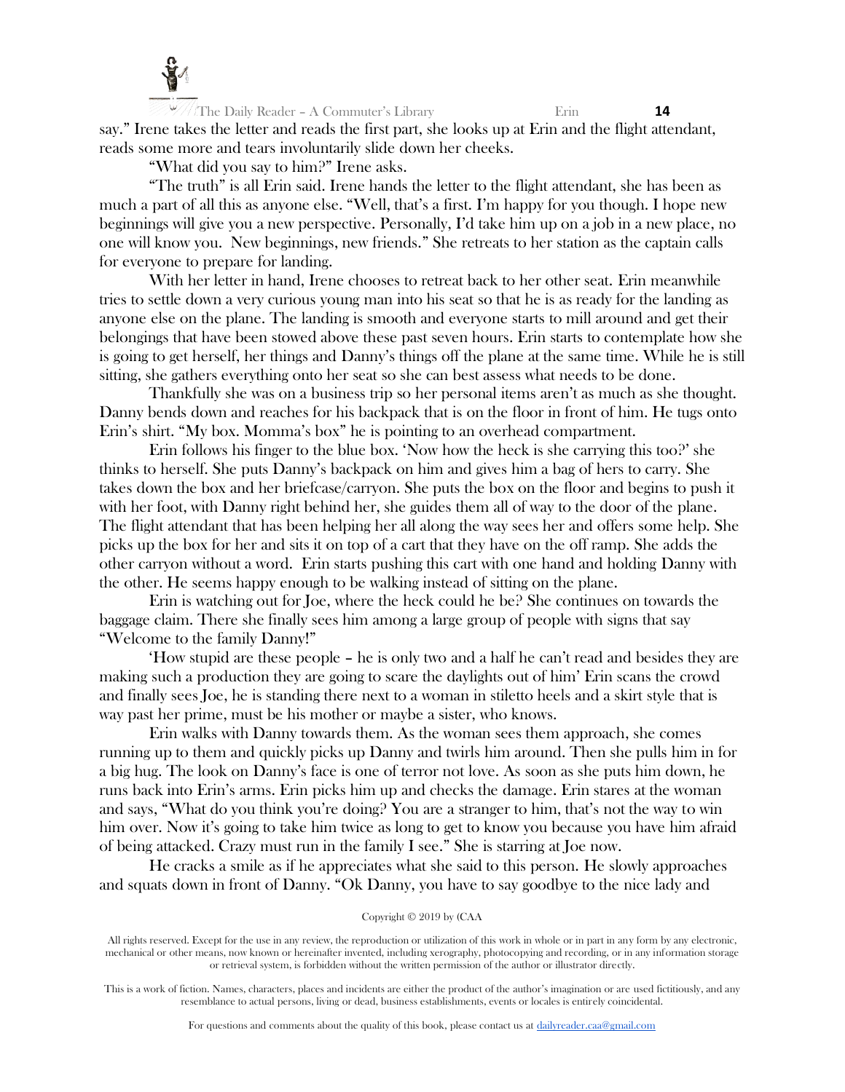

The Daily Reader – A Commuter's Library Erin **14** say." Irene takes the letter and reads the first part, she looks up at Erin and the flight attendant, reads some more and tears involuntarily slide down her cheeks.

"What did you say to him?" Irene asks.

"The truth" is all Erin said. Irene hands the letter to the flight attendant, she has been as much a part of all this as anyone else. "Well, that's a first. I'm happy for you though. I hope new beginnings will give you a new perspective. Personally, I'd take him up on a job in a new place, no one will know you. New beginnings, new friends." She retreats to her station as the captain calls for everyone to prepare for landing.

With her letter in hand, Irene chooses to retreat back to her other seat. Erin meanwhile tries to settle down a very curious young man into his seat so that he is as ready for the landing as anyone else on the plane. The landing is smooth and everyone starts to mill around and get their belongings that have been stowed above these past seven hours. Erin starts to contemplate how she is going to get herself, her things and Danny's things off the plane at the same time. While he is still sitting, she gathers everything onto her seat so she can best assess what needs to be done.

Thankfully she was on a business trip so her personal items aren't as much as she thought. Danny bends down and reaches for his backpack that is on the floor in front of him. He tugs onto Erin's shirt. "My box. Momma's box" he is pointing to an overhead compartment.

Erin follows his finger to the blue box. 'Now how the heck is she carrying this too?' she thinks to herself. She puts Danny's backpack on him and gives him a bag of hers to carry. She takes down the box and her briefcase/carryon. She puts the box on the floor and begins to push it with her foot, with Danny right behind her, she guides them all of way to the door of the plane. The flight attendant that has been helping her all along the way sees her and offers some help. She picks up the box for her and sits it on top of a cart that they have on the off ramp. She adds the other carryon without a word. Erin starts pushing this cart with one hand and holding Danny with the other. He seems happy enough to be walking instead of sitting on the plane.

Erin is watching out for Joe, where the heck could he be? She continues on towards the baggage claim. There she finally sees him among a large group of people with signs that say "Welcome to the family Danny!"

'How stupid are these people – he is only two and a half he can't read and besides they are making such a production they are going to scare the daylights out of him' Erin scans the crowd and finally sees Joe, he is standing there next to a woman in stiletto heels and a skirt style that is way past her prime, must be his mother or maybe a sister, who knows.

Erin walks with Danny towards them. As the woman sees them approach, she comes running up to them and quickly picks up Danny and twirls him around. Then she pulls him in for a big hug. The look on Danny's face is one of terror not love. As soon as she puts him down, he runs back into Erin's arms. Erin picks him up and checks the damage. Erin stares at the woman and says, "What do you think you're doing? You are a stranger to him, that's not the way to win him over. Now it's going to take him twice as long to get to know you because you have him afraid of being attacked. Crazy must run in the family I see." She is starring at Joe now.

He cracks a smile as if he appreciates what she said to this person. He slowly approaches and squats down in front of Danny. "Ok Danny, you have to say goodbye to the nice lady and

#### Copyright © 2019 by (CAA

All rights reserved. Except for the use in any review, the reproduction or utilization of this work in whole or in part in any form by any electronic, mechanical or other means, now known or hereinafter invented, including xerography, photocopying and recording, or in any information storage or retrieval system, is forbidden without the written permission of the author or illustrator directly.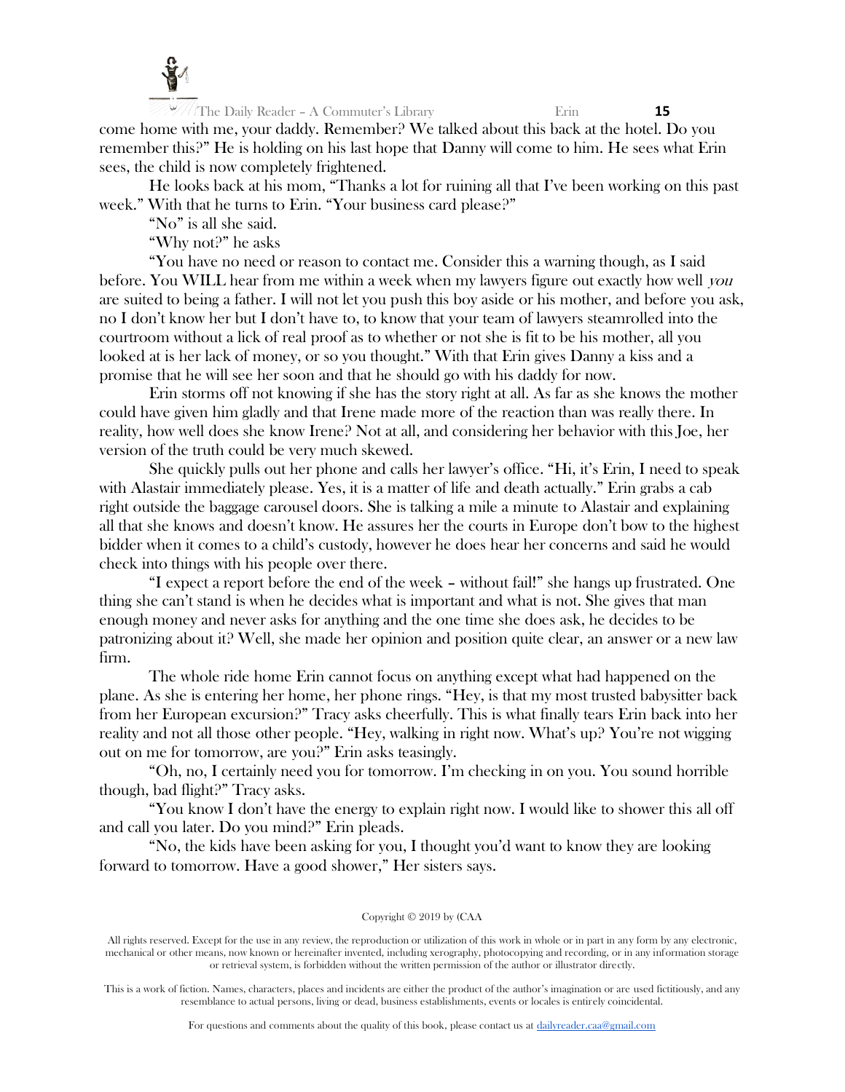

The Daily Reader – A Commuter's Library Erin **15** come home with me, your daddy. Remember? We talked about this back at the hotel. Do you remember this?" He is holding on his last hope that Danny will come to him. He sees what Erin sees, the child is now completely frightened.

He looks back at his mom, "Thanks a lot for ruining all that I've been working on this past week." With that he turns to Erin. "Your business card please?"

"No" is all she said.

"Why not?" he asks

"You have no need or reason to contact me. Consider this a warning though, as I said before. You WILL hear from me within a week when my lawyers figure out exactly how well you are suited to being a father. I will not let you push this boy aside or his mother, and before you ask, no I don't know her but I don't have to, to know that your team of lawyers steamrolled into the courtroom without a lick of real proof as to whether or not she is fit to be his mother, all you looked at is her lack of money, or so you thought." With that Erin gives Danny a kiss and a promise that he will see her soon and that he should go with his daddy for now.

Erin storms off not knowing if she has the story right at all. As far as she knows the mother could have given him gladly and that Irene made more of the reaction than was really there. In reality, how well does she know Irene? Not at all, and considering her behavior with this Joe, her version of the truth could be very much skewed.

She quickly pulls out her phone and calls her lawyer's office. "Hi, it's Erin, I need to speak with Alastair immediately please. Yes, it is a matter of life and death actually." Erin grabs a cab right outside the baggage carousel doors. She is talking a mile a minute to Alastair and explaining all that she knows and doesn't know. He assures her the courts in Europe don't bow to the highest bidder when it comes to a child's custody, however he does hear her concerns and said he would check into things with his people over there.

"I expect a report before the end of the week – without fail!" she hangs up frustrated. One thing she can't stand is when he decides what is important and what is not. She gives that man enough money and never asks for anything and the one time she does ask, he decides to be patronizing about it? Well, she made her opinion and position quite clear, an answer or a new law firm.

The whole ride home Erin cannot focus on anything except what had happened on the plane. As she is entering her home, her phone rings. "Hey, is that my most trusted babysitter back from her European excursion?" Tracy asks cheerfully. This is what finally tears Erin back into her reality and not all those other people. "Hey, walking in right now. What's up? You're not wigging out on me for tomorrow, are you?" Erin asks teasingly.

"Oh, no, I certainly need you for tomorrow. I'm checking in on you. You sound horrible though, bad flight?" Tracy asks.

"You know I don't have the energy to explain right now. I would like to shower this all off and call you later. Do you mind?" Erin pleads.

"No, the kids have been asking for you, I thought you'd want to know they are looking forward to tomorrow. Have a good shower," Her sisters says.

# Copyright © 2019 by (CAA

All rights reserved. Except for the use in any review, the reproduction or utilization of this work in whole or in part in any form by any electronic, mechanical or other means, now known or hereinafter invented, including xerography, photocopying and recording, or in any information storage or retrieval system, is forbidden without the written permission of the author or illustrator directly.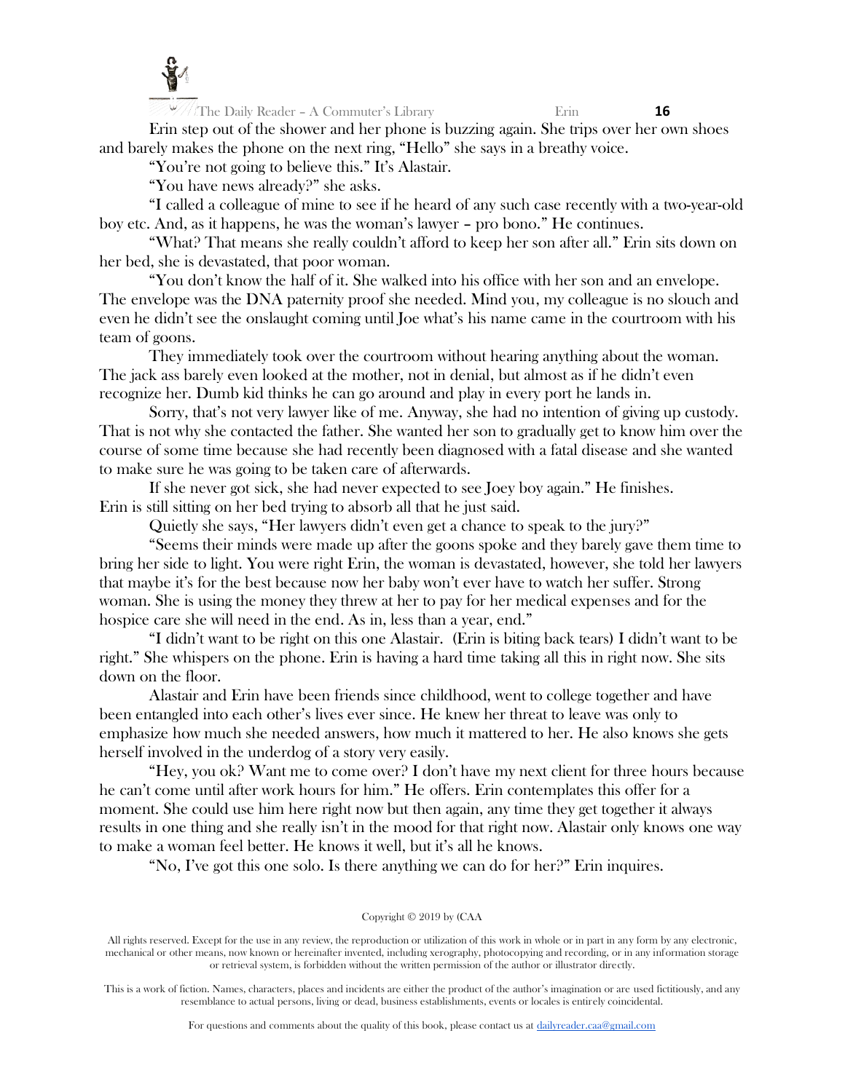

The Daily Reader – A Commuter's Library Erin **16** Erin step out of the shower and her phone is buzzing again. She trips over her own shoes and barely makes the phone on the next ring, "Hello" she says in a breathy voice.

"You're not going to believe this." It's Alastair.

"You have news already?" she asks.

"I called a colleague of mine to see if he heard of any such case recently with a two-year-old boy etc. And, as it happens, he was the woman's lawyer – pro bono." He continues.

"What? That means she really couldn't afford to keep her son after all." Erin sits down on her bed, she is devastated, that poor woman.

"You don't know the half of it. She walked into his office with her son and an envelope. The envelope was the DNA paternity proof she needed. Mind you, my colleague is no slouch and even he didn't see the onslaught coming until Joe what's his name came in the courtroom with his team of goons.

They immediately took over the courtroom without hearing anything about the woman. The jack ass barely even looked at the mother, not in denial, but almost as if he didn't even recognize her. Dumb kid thinks he can go around and play in every port he lands in.

Sorry, that's not very lawyer like of me. Anyway, she had no intention of giving up custody. That is not why she contacted the father. She wanted her son to gradually get to know him over the course of some time because she had recently been diagnosed with a fatal disease and she wanted to make sure he was going to be taken care of afterwards.

If she never got sick, she had never expected to see Joey boy again." He finishes. Erin is still sitting on her bed trying to absorb all that he just said.

Quietly she says, "Her lawyers didn't even get a chance to speak to the jury?"

"Seems their minds were made up after the goons spoke and they barely gave them time to bring her side to light. You were right Erin, the woman is devastated, however, she told her lawyers that maybe it's for the best because now her baby won't ever have to watch her suffer. Strong woman. She is using the money they threw at her to pay for her medical expenses and for the hospice care she will need in the end. As in, less than a year, end."

"I didn't want to be right on this one Alastair. (Erin is biting back tears) I didn't want to be right." She whispers on the phone. Erin is having a hard time taking all this in right now. She sits down on the floor.

Alastair and Erin have been friends since childhood, went to college together and have been entangled into each other's lives ever since. He knew her threat to leave was only to emphasize how much she needed answers, how much it mattered to her. He also knows she gets herself involved in the underdog of a story very easily.

"Hey, you ok? Want me to come over? I don't have my next client for three hours because he can't come until after work hours for him." He offers. Erin contemplates this offer for a moment. She could use him here right now but then again, any time they get together it always results in one thing and she really isn't in the mood for that right now. Alastair only knows one way to make a woman feel better. He knows it well, but it's all he knows.

"No, I've got this one solo. Is there anything we can do for her?" Erin inquires.

Copyright © 2019 by (CAA

All rights reserved. Except for the use in any review, the reproduction or utilization of this work in whole or in part in any form by any electronic, mechanical or other means, now known or hereinafter invented, including xerography, photocopying and recording, or in any information storage or retrieval system, is forbidden without the written permission of the author or illustrator directly.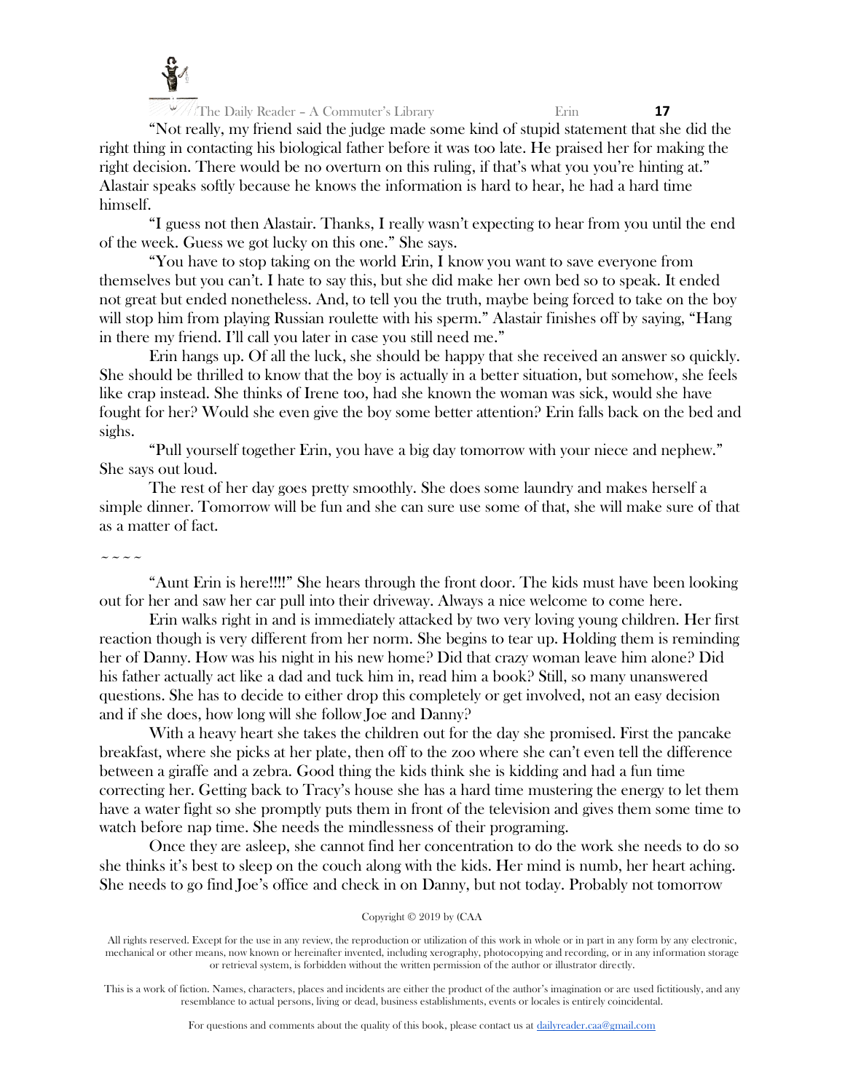

The Daily Reader – A Commuter's Library Erin **17**

"Not really, my friend said the judge made some kind of stupid statement that she did the right thing in contacting his biological father before it was too late. He praised her for making the right decision. There would be no overturn on this ruling, if that's what you you're hinting at." Alastair speaks softly because he knows the information is hard to hear, he had a hard time himself.

"I guess not then Alastair. Thanks, I really wasn't expecting to hear from you until the end of the week. Guess we got lucky on this one." She says.

"You have to stop taking on the world Erin, I know you want to save everyone from themselves but you can't. I hate to say this, but she did make her own bed so to speak. It ended not great but ended nonetheless. And, to tell you the truth, maybe being forced to take on the boy will stop him from playing Russian roulette with his sperm." Alastair finishes off by saying, "Hang in there my friend. I'll call you later in case you still need me."

Erin hangs up. Of all the luck, she should be happy that she received an answer so quickly. She should be thrilled to know that the boy is actually in a better situation, but somehow, she feels like crap instead. She thinks of Irene too, had she known the woman was sick, would she have fought for her? Would she even give the boy some better attention? Erin falls back on the bed and sighs.

"Pull yourself together Erin, you have a big day tomorrow with your niece and nephew." She says out loud.

The rest of her day goes pretty smoothly. She does some laundry and makes herself a simple dinner. Tomorrow will be fun and she can sure use some of that, she will make sure of that as a matter of fact.

# $\sim$   $\sim$   $\sim$   $\sim$

"Aunt Erin is here!!!!" She hears through the front door. The kids must have been looking out for her and saw her car pull into their driveway. Always a nice welcome to come here.

Erin walks right in and is immediately attacked by two very loving young children. Her first reaction though is very different from her norm. She begins to tear up. Holding them is reminding her of Danny. How was his night in his new home? Did that crazy woman leave him alone? Did his father actually act like a dad and tuck him in, read him a book? Still, so many unanswered questions. She has to decide to either drop this completely or get involved, not an easy decision and if she does, how long will she follow Joe and Danny?

With a heavy heart she takes the children out for the day she promised. First the pancake breakfast, where she picks at her plate, then off to the zoo where she can't even tell the difference between a giraffe and a zebra. Good thing the kids think she is kidding and had a fun time correcting her. Getting back to Tracy's house she has a hard time mustering the energy to let them have a water fight so she promptly puts them in front of the television and gives them some time to watch before nap time. She needs the mindlessness of their programing.

Once they are asleep, she cannot find her concentration to do the work she needs to do so she thinks it's best to sleep on the couch along with the kids. Her mind is numb, her heart aching. She needs to go find Joe's office and check in on Danny, but not today. Probably not tomorrow

#### Copyright © 2019 by (CAA

All rights reserved. Except for the use in any review, the reproduction or utilization of this work in whole or in part in any form by any electronic, mechanical or other means, now known or hereinafter invented, including xerography, photocopying and recording, or in any information storage or retrieval system, is forbidden without the written permission of the author or illustrator directly.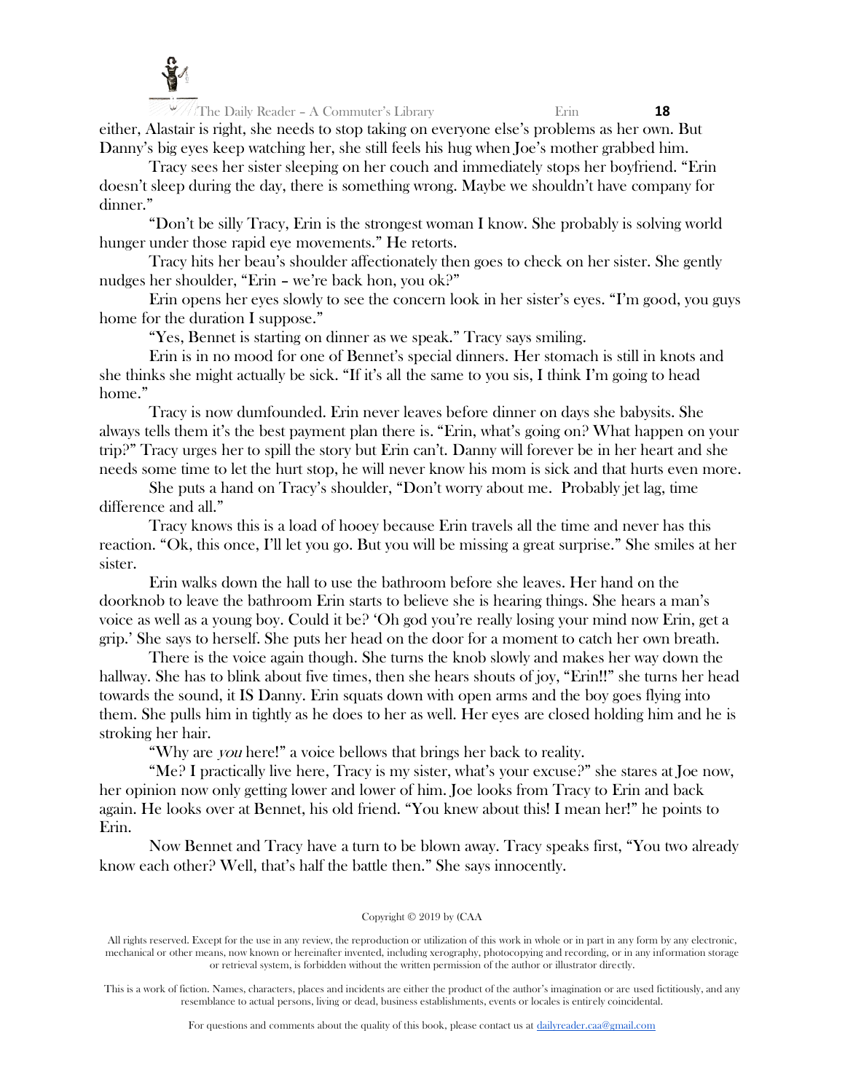

The Daily Reader – A Commuter's Library Erin **18** either, Alastair is right, she needs to stop taking on everyone else's problems as her own. But Danny's big eyes keep watching her, she still feels his hug when Joe's mother grabbed him.

Tracy sees her sister sleeping on her couch and immediately stops her boyfriend. "Erin doesn't sleep during the day, there is something wrong. Maybe we shouldn't have company for dinner."

"Don't be silly Tracy, Erin is the strongest woman I know. She probably is solving world hunger under those rapid eye movements." He retorts.

Tracy hits her beau's shoulder affectionately then goes to check on her sister. She gently nudges her shoulder, "Erin – we're back hon, you ok?"

Erin opens her eyes slowly to see the concern look in her sister's eyes. "I'm good, you guys home for the duration I suppose."

"Yes, Bennet is starting on dinner as we speak." Tracy says smiling.

Erin is in no mood for one of Bennet's special dinners. Her stomach is still in knots and she thinks she might actually be sick. "If it's all the same to you sis, I think I'm going to head home."

Tracy is now dumfounded. Erin never leaves before dinner on days she babysits. She always tells them it's the best payment plan there is. "Erin, what's going on? What happen on your trip?" Tracy urges her to spill the story but Erin can't. Danny will forever be in her heart and she needs some time to let the hurt stop, he will never know his mom is sick and that hurts even more.

She puts a hand on Tracy's shoulder, "Don't worry about me. Probably jet lag, time difference and all."

Tracy knows this is a load of hooey because Erin travels all the time and never has this reaction. "Ok, this once, I'll let you go. But you will be missing a great surprise." She smiles at her sister.

Erin walks down the hall to use the bathroom before she leaves. Her hand on the doorknob to leave the bathroom Erin starts to believe she is hearing things. She hears a man's voice as well as a young boy. Could it be? 'Oh god you're really losing your mind now Erin, get a grip.' She says to herself. She puts her head on the door for a moment to catch her own breath.

There is the voice again though. She turns the knob slowly and makes her way down the hallway. She has to blink about five times, then she hears shouts of joy, "Erin!!" she turns her head towards the sound, it IS Danny. Erin squats down with open arms and the boy goes flying into them. She pulls him in tightly as he does to her as well. Her eyes are closed holding him and he is stroking her hair.

"Why are you here!" a voice bellows that brings her back to reality.

"Me? I practically live here, Tracy is my sister, what's your excuse?" she stares at Joe now, her opinion now only getting lower and lower of him. Joe looks from Tracy to Erin and back again. He looks over at Bennet, his old friend. "You knew about this! I mean her!" he points to Erin.

Now Bennet and Tracy have a turn to be blown away. Tracy speaks first, "You two already know each other? Well, that's half the battle then." She says innocently.

# Copyright © 2019 by (CAA

All rights reserved. Except for the use in any review, the reproduction or utilization of this work in whole or in part in any form by any electronic, mechanical or other means, now known or hereinafter invented, including xerography, photocopying and recording, or in any information storage or retrieval system, is forbidden without the written permission of the author or illustrator directly.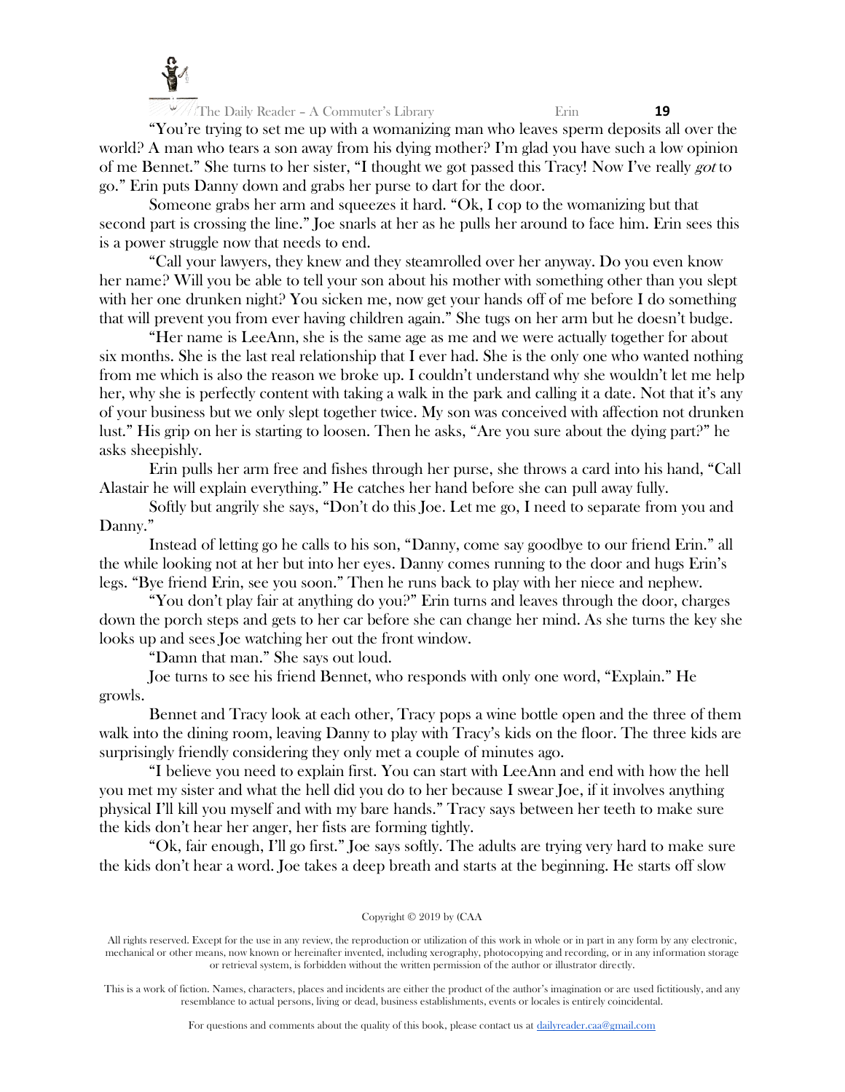

The Daily Reader – A Commuter's Library Erin **19**

"You're trying to set me up with a womanizing man who leaves sperm deposits all over the world? A man who tears a son away from his dying mother? I'm glad you have such a low opinion of me Bennet." She turns to her sister, "I thought we got passed this Tracy! Now I've really got to go." Erin puts Danny down and grabs her purse to dart for the door.

Someone grabs her arm and squeezes it hard. "Ok, I cop to the womanizing but that second part is crossing the line." Joe snarls at her as he pulls her around to face him. Erin sees this is a power struggle now that needs to end.

"Call your lawyers, they knew and they steamrolled over her anyway. Do you even know her name? Will you be able to tell your son about his mother with something other than you slept with her one drunken night? You sicken me, now get your hands off of me before I do something that will prevent you from ever having children again." She tugs on her arm but he doesn't budge.

"Her name is LeeAnn, she is the same age as me and we were actually together for about six months. She is the last real relationship that I ever had. She is the only one who wanted nothing from me which is also the reason we broke up. I couldn't understand why she wouldn't let me help her, why she is perfectly content with taking a walk in the park and calling it a date. Not that it's any of your business but we only slept together twice. My son was conceived with affection not drunken lust." His grip on her is starting to loosen. Then he asks, "Are you sure about the dying part?" he asks sheepishly.

Erin pulls her arm free and fishes through her purse, she throws a card into his hand, "Call Alastair he will explain everything." He catches her hand before she can pull away fully.

Softly but angrily she says, "Don't do this Joe. Let me go, I need to separate from you and Danny."

Instead of letting go he calls to his son, "Danny, come say goodbye to our friend Erin." all the while looking not at her but into her eyes. Danny comes running to the door and hugs Erin's legs. "Bye friend Erin, see you soon." Then he runs back to play with her niece and nephew.

"You don't play fair at anything do you?" Erin turns and leaves through the door, charges down the porch steps and gets to her car before she can change her mind. As she turns the key she looks up and sees Joe watching her out the front window.

"Damn that man." She says out loud.

Joe turns to see his friend Bennet, who responds with only one word, "Explain." He growls.

Bennet and Tracy look at each other, Tracy pops a wine bottle open and the three of them walk into the dining room, leaving Danny to play with Tracy's kids on the floor. The three kids are surprisingly friendly considering they only met a couple of minutes ago.

"I believe you need to explain first. You can start with LeeAnn and end with how the hell you met my sister and what the hell did you do to her because I swear Joe, if it involves anything physical I'll kill you myself and with my bare hands." Tracy says between her teeth to make sure the kids don't hear her anger, her fists are forming tightly.

"Ok, fair enough, I'll go first." Joe says softly. The adults are trying very hard to make sure the kids don't hear a word. Joe takes a deep breath and starts at the beginning. He starts off slow

# Copyright © 2019 by (CAA

All rights reserved. Except for the use in any review, the reproduction or utilization of this work in whole or in part in any form by any electronic, mechanical or other means, now known or hereinafter invented, including xerography, photocopying and recording, or in any information storage or retrieval system, is forbidden without the written permission of the author or illustrator directly.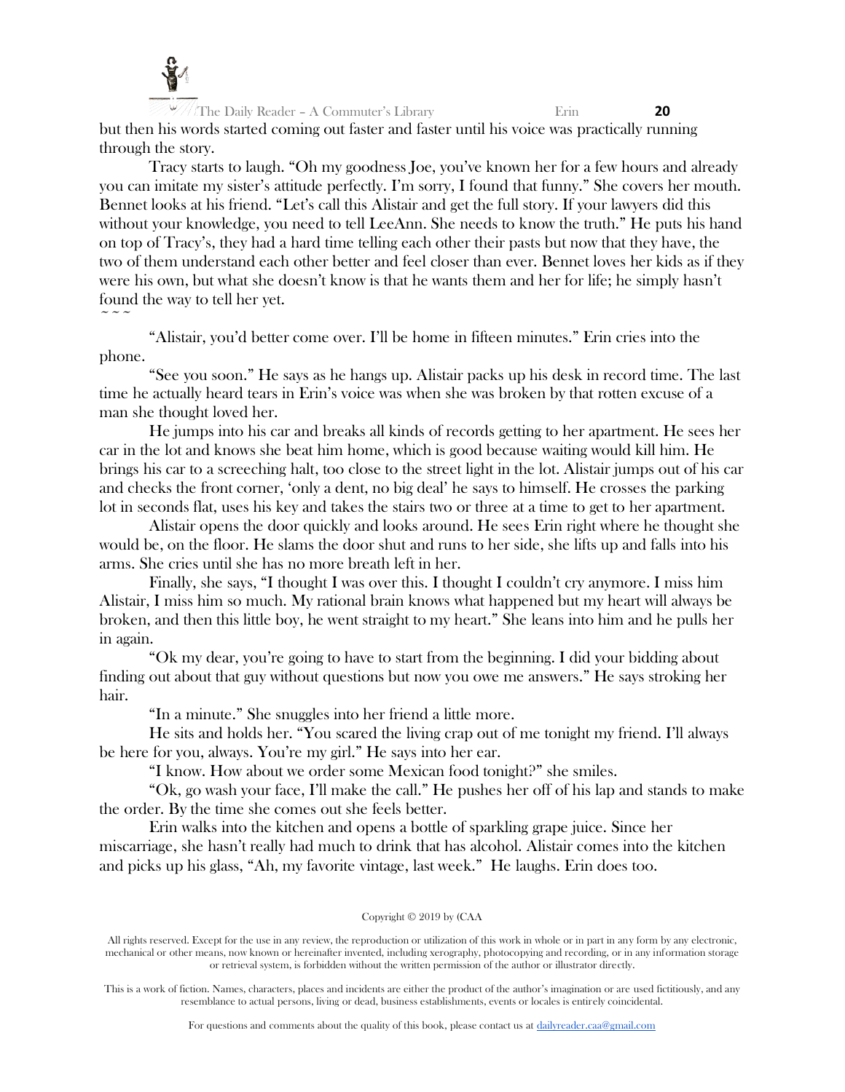

The Daily Reader – A Commuter's Library Erin **20** but then his words started coming out faster and faster until his voice was practically running through the story.

Tracy starts to laugh. "Oh my goodness Joe, you've known her for a few hours and already you can imitate my sister's attitude perfectly. I'm sorry, I found that funny." She covers her mouth. Bennet looks at his friend. "Let's call this Alistair and get the full story. If your lawyers did this without your knowledge, you need to tell LeeAnn. She needs to know the truth." He puts his hand on top of Tracy's, they had a hard time telling each other their pasts but now that they have, the two of them understand each other better and feel closer than ever. Bennet loves her kids as if they were his own, but what she doesn't know is that he wants them and her for life; he simply hasn't found the way to tell her yet.  $\sim$   $\sim$   $\sim$ 

"Alistair, you'd better come over. I'll be home in fifteen minutes." Erin cries into the phone.

"See you soon." He says as he hangs up. Alistair packs up his desk in record time. The last time he actually heard tears in Erin's voice was when she was broken by that rotten excuse of a man she thought loved her.

He jumps into his car and breaks all kinds of records getting to her apartment. He sees her car in the lot and knows she beat him home, which is good because waiting would kill him. He brings his car to a screeching halt, too close to the street light in the lot. Alistair jumps out of his car and checks the front corner, 'only a dent, no big deal' he says to himself. He crosses the parking lot in seconds flat, uses his key and takes the stairs two or three at a time to get to her apartment.

Alistair opens the door quickly and looks around. He sees Erin right where he thought she would be, on the floor. He slams the door shut and runs to her side, she lifts up and falls into his arms. She cries until she has no more breath left in her.

Finally, she says, "I thought I was over this. I thought I couldn't cry anymore. I miss him Alistair, I miss him so much. My rational brain knows what happened but my heart will always be broken, and then this little boy, he went straight to my heart." She leans into him and he pulls her in again.

"Ok my dear, you're going to have to start from the beginning. I did your bidding about finding out about that guy without questions but now you owe me answers." He says stroking her hair.

"In a minute." She snuggles into her friend a little more.

He sits and holds her. "You scared the living crap out of me tonight my friend. I'll always be here for you, always. You're my girl." He says into her ear.

"I know. How about we order some Mexican food tonight?" she smiles.

"Ok, go wash your face, I'll make the call." He pushes her off of his lap and stands to make the order. By the time she comes out she feels better.

Erin walks into the kitchen and opens a bottle of sparkling grape juice. Since her miscarriage, she hasn't really had much to drink that has alcohol. Alistair comes into the kitchen and picks up his glass, "Ah, my favorite vintage, last week." He laughs. Erin does too.

#### Copyright © 2019 by (CAA

All rights reserved. Except for the use in any review, the reproduction or utilization of this work in whole or in part in any form by any electronic, mechanical or other means, now known or hereinafter invented, including xerography, photocopying and recording, or in any information storage or retrieval system, is forbidden without the written permission of the author or illustrator directly.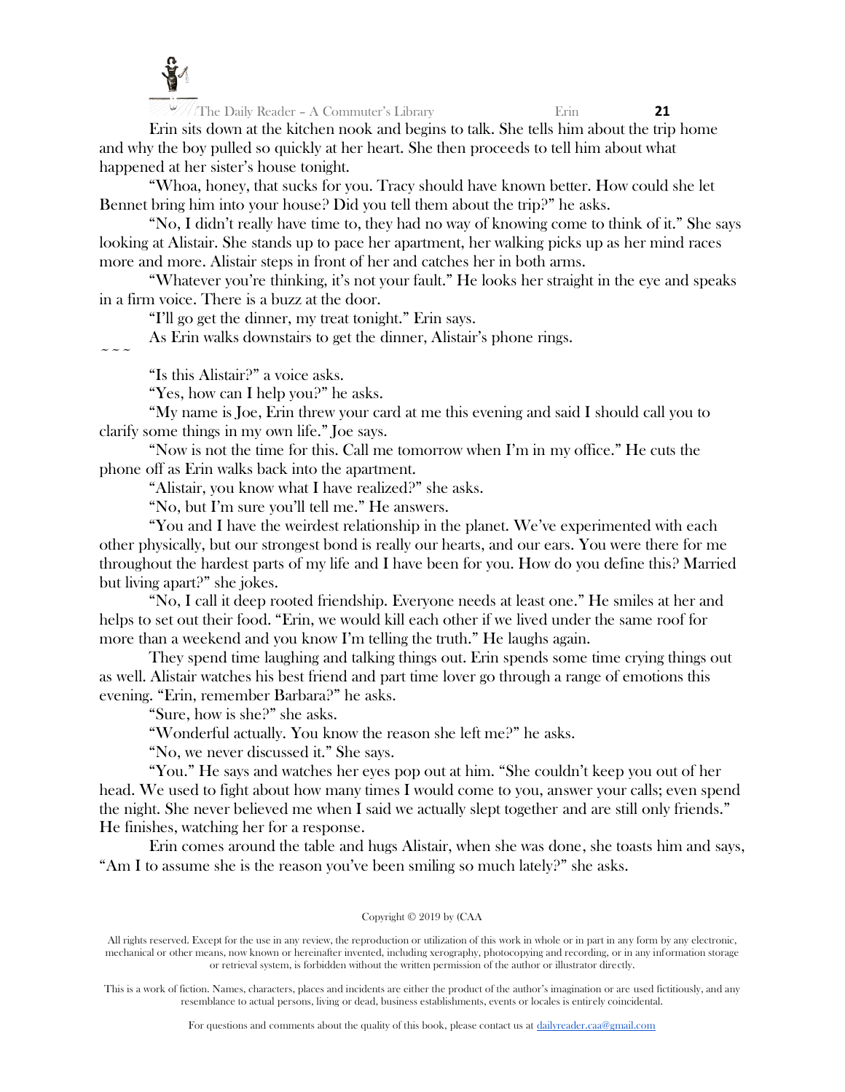

 $\sim$   $\sim$   $\sim$ 

 $\frac{1}{2}$ The Daily Reader – A Commuter's Library Erin **21** 

Erin sits down at the kitchen nook and begins to talk. She tells him about the trip home and why the boy pulled so quickly at her heart. She then proceeds to tell him about what happened at her sister's house tonight.

"Whoa, honey, that sucks for you. Tracy should have known better. How could she let Bennet bring him into your house? Did you tell them about the trip?" he asks.

"No, I didn't really have time to, they had no way of knowing come to think of it." She says looking at Alistair. She stands up to pace her apartment, her walking picks up as her mind races more and more. Alistair steps in front of her and catches her in both arms.

"Whatever you're thinking, it's not your fault." He looks her straight in the eye and speaks in a firm voice. There is a buzz at the door.

"I'll go get the dinner, my treat tonight." Erin says.

As Erin walks downstairs to get the dinner, Alistair's phone rings.

"Is this Alistair?" a voice asks.

"Yes, how can I help you?" he asks.

"My name is Joe, Erin threw your card at me this evening and said I should call you to clarify some things in my own life." Joe says.

"Now is not the time for this. Call me tomorrow when I'm in my office." He cuts the phone off as Erin walks back into the apartment.

"Alistair, you know what I have realized?" she asks.

"No, but I'm sure you'll tell me." He answers.

"You and I have the weirdest relationship in the planet. We've experimented with each other physically, but our strongest bond is really our hearts, and our ears. You were there for me throughout the hardest parts of my life and I have been for you. How do you define this? Married but living apart?" she jokes.

"No, I call it deep rooted friendship. Everyone needs at least one." He smiles at her and helps to set out their food. "Erin, we would kill each other if we lived under the same roof for more than a weekend and you know I'm telling the truth." He laughs again.

They spend time laughing and talking things out. Erin spends some time crying things out as well. Alistair watches his best friend and part time lover go through a range of emotions this evening. "Erin, remember Barbara?" he asks.

"Sure, how is she?" she asks.

"Wonderful actually. You know the reason she left me?" he asks.

"No, we never discussed it." She says.

"You." He says and watches her eyes pop out at him. "She couldn't keep you out of her head. We used to fight about how many times I would come to you, answer your calls; even spend the night. She never believed me when I said we actually slept together and are still only friends." He finishes, watching her for a response.

Erin comes around the table and hugs Alistair, when she was done, she toasts him and says, "Am I to assume she is the reason you've been smiling so much lately?" she asks.

#### Copyright © 2019 by (CAA

All rights reserved. Except for the use in any review, the reproduction or utilization of this work in whole or in part in any form by any electronic, mechanical or other means, now known or hereinafter invented, including xerography, photocopying and recording, or in any information storage or retrieval system, is forbidden without the written permission of the author or illustrator directly.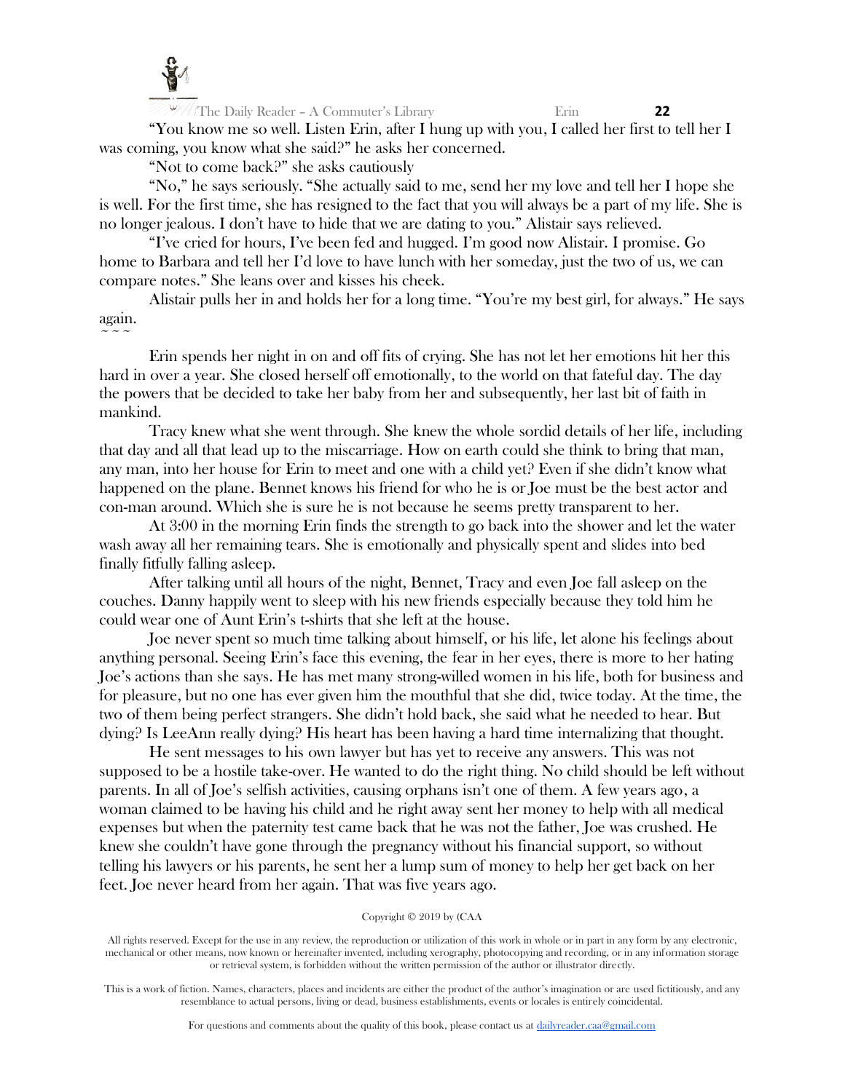

 $\sim$   $\sim$   $\sim$ 

 $\frac{1}{2}$  The Daily Reader – A Commuter's Library Erin **22** 

"You know me so well. Listen Erin, after I hung up with you, I called her first to tell her I was coming, you know what she said?" he asks her concerned.

"Not to come back?" she asks cautiously

"No," he says seriously. "She actually said to me, send her my love and tell her I hope she is well. For the first time, she has resigned to the fact that you will always be a part of my life. She is no longer jealous. I don't have to hide that we are dating to you." Alistair says relieved.

"I've cried for hours, I've been fed and hugged. I'm good now Alistair. I promise. Go home to Barbara and tell her I'd love to have lunch with her someday, just the two of us, we can compare notes." She leans over and kisses his cheek.

Alistair pulls her in and holds her for a long time. "You're my best girl, for always." He says again.

Erin spends her night in on and off fits of crying. She has not let her emotions hit her this hard in over a year. She closed herself off emotionally, to the world on that fateful day. The day the powers that be decided to take her baby from her and subsequently, her last bit of faith in mankind.

Tracy knew what she went through. She knew the whole sordid details of her life, including that day and all that lead up to the miscarriage. How on earth could she think to bring that man, any man, into her house for Erin to meet and one with a child yet? Even if she didn't know what happened on the plane. Bennet knows his friend for who he is or Joe must be the best actor and con-man around. Which she is sure he is not because he seems pretty transparent to her.

At 3:00 in the morning Erin finds the strength to go back into the shower and let the water wash away all her remaining tears. She is emotionally and physically spent and slides into bed finally fitfully falling asleep.

After talking until all hours of the night, Bennet, Tracy and even Joe fall asleep on the couches. Danny happily went to sleep with his new friends especially because they told him he could wear one of Aunt Erin's t-shirts that she left at the house.

Joe never spent so much time talking about himself, or his life, let alone his feelings about anything personal. Seeing Erin's face this evening, the fear in her eyes, there is more to her hating Joe's actions than she says. He has met many strong-willed women in his life, both for business and for pleasure, but no one has ever given him the mouthful that she did, twice today. At the time, the two of them being perfect strangers. She didn't hold back, she said what he needed to hear. But dying? Is LeeAnn really dying? His heart has been having a hard time internalizing that thought.

He sent messages to his own lawyer but has yet to receive any answers. This was not supposed to be a hostile take-over. He wanted to do the right thing. No child should be left without parents. In all of Joe's selfish activities, causing orphans isn't one of them. A few years ago, a woman claimed to be having his child and he right away sent her money to help with all medical expenses but when the paternity test came back that he was not the father, Joe was crushed. He knew she couldn't have gone through the pregnancy without his financial support, so without telling his lawyers or his parents, he sent her a lump sum of money to help her get back on her feet. Joe never heard from her again. That was five years ago.

# Copyright © 2019 by (CAA

All rights reserved. Except for the use in any review, the reproduction or utilization of this work in whole or in part in any form by any electronic, mechanical or other means, now known or hereinafter invented, including xerography, photocopying and recording, or in any information storage or retrieval system, is forbidden without the written permission of the author or illustrator directly.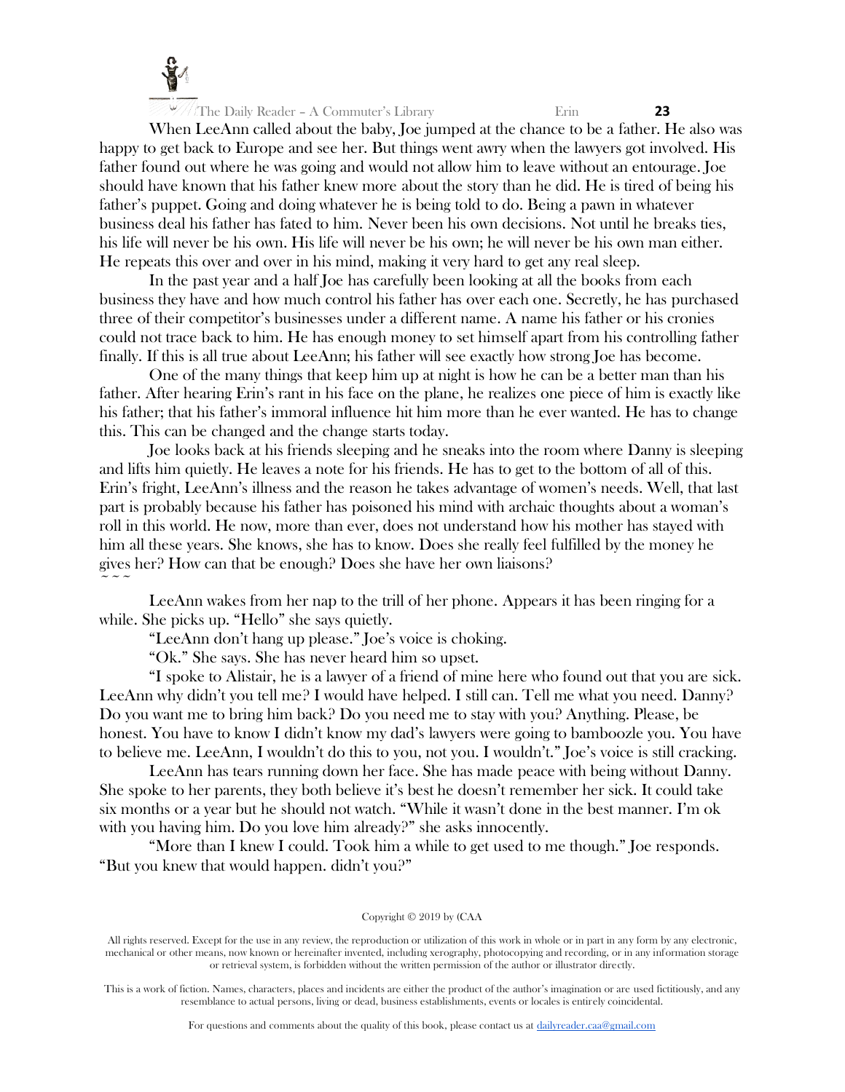

When LeeAnn called about the baby, Joe jumped at the chance to be a father. He also was happy to get back to Europe and see her. But things went awry when the lawyers got involved. His father found out where he was going and would not allow him to leave without an entourage. Joe should have known that his father knew more about the story than he did. He is tired of being his father's puppet. Going and doing whatever he is being told to do. Being a pawn in whatever business deal his father has fated to him. Never been his own decisions. Not until he breaks ties, his life will never be his own. His life will never be his own; he will never be his own man either. He repeats this over and over in his mind, making it very hard to get any real sleep.

In the past year and a half Joe has carefully been looking at all the books from each business they have and how much control his father has over each one. Secretly, he has purchased three of their competitor's businesses under a different name. A name his father or his cronies could not trace back to him. He has enough money to set himself apart from his controlling father finally. If this is all true about LeeAnn; his father will see exactly how strong Joe has become.

One of the many things that keep him up at night is how he can be a better man than his father. After hearing Erin's rant in his face on the plane, he realizes one piece of him is exactly like his father; that his father's immoral influence hit him more than he ever wanted. He has to change this. This can be changed and the change starts today.

Joe looks back at his friends sleeping and he sneaks into the room where Danny is sleeping and lifts him quietly. He leaves a note for his friends. He has to get to the bottom of all of this. Erin's fright, LeeAnn's illness and the reason he takes advantage of women's needs. Well, that last part is probably because his father has poisoned his mind with archaic thoughts about a woman's roll in this world. He now, more than ever, does not understand how his mother has stayed with him all these years. She knows, she has to know. Does she really feel fulfilled by the money he gives her? How can that be enough? Does she have her own liaisons?  $\sim$   $\sim$   $\sim$ 

LeeAnn wakes from her nap to the trill of her phone. Appears it has been ringing for a while. She picks up. "Hello" she says quietly.

"LeeAnn don't hang up please." Joe's voice is choking.

"Ok." She says. She has never heard him so upset.

"I spoke to Alistair, he is a lawyer of a friend of mine here who found out that you are sick. LeeAnn why didn't you tell me? I would have helped. I still can. Tell me what you need. Danny? Do you want me to bring him back? Do you need me to stay with you? Anything. Please, be honest. You have to know I didn't know my dad's lawyers were going to bamboozle you. You have to believe me. LeeAnn, I wouldn't do this to you, not you. I wouldn't." Joe's voice is still cracking.

LeeAnn has tears running down her face. She has made peace with being without Danny. She spoke to her parents, they both believe it's best he doesn't remember her sick. It could take six months or a year but he should not watch. "While it wasn't done in the best manner. I'm ok with you having him. Do you love him already?" she asks innocently.

"More than I knew I could. Took him a while to get used to me though." Joe responds. "But you knew that would happen. didn't you?"

#### Copyright © 2019 by (CAA

All rights reserved. Except for the use in any review, the reproduction or utilization of this work in whole or in part in any form by any electronic, mechanical or other means, now known or hereinafter invented, including xerography, photocopying and recording, or in any information storage or retrieval system, is forbidden without the written permission of the author or illustrator directly.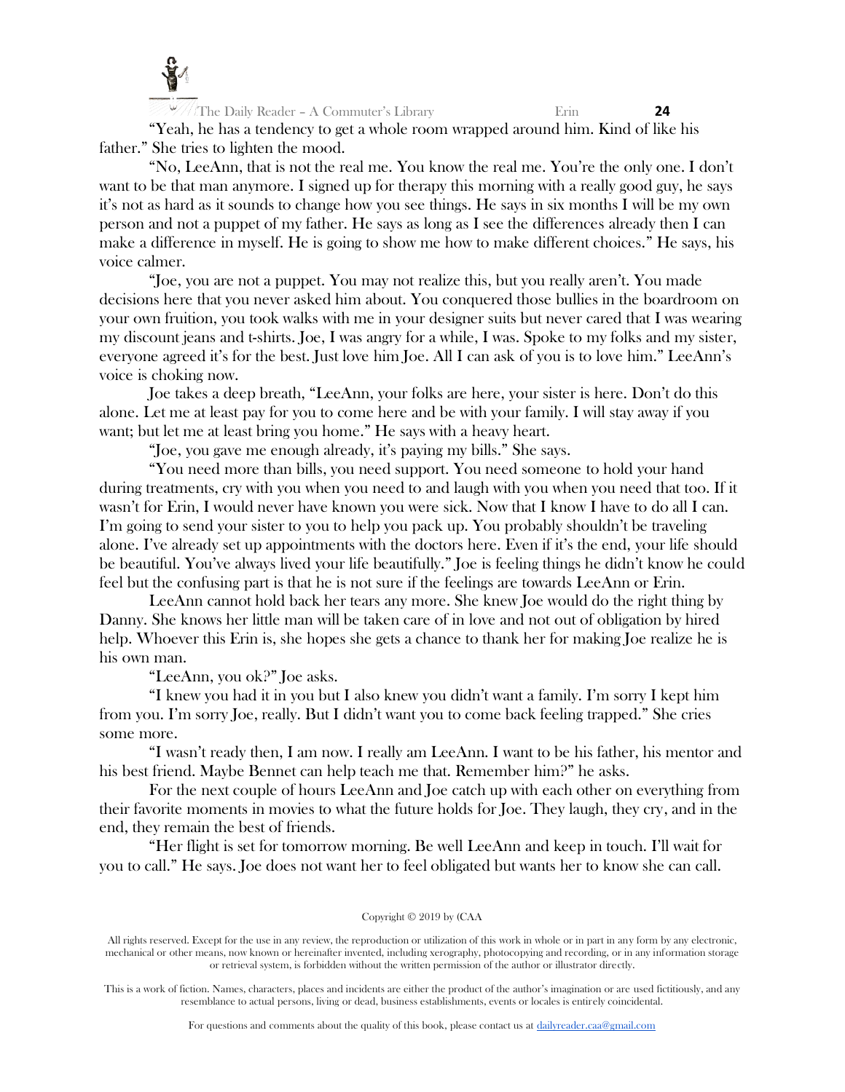

The Daily Reader – A Commuter's Library Erin **24** "Yeah, he has a tendency to get a whole room wrapped around him. Kind of like his father." She tries to lighten the mood.

"No, LeeAnn, that is not the real me. You know the real me. You're the only one. I don't want to be that man anymore. I signed up for therapy this morning with a really good guy, he says it's not as hard as it sounds to change how you see things. He says in six months I will be my own person and not a puppet of my father. He says as long as I see the differences already then I can make a difference in myself. He is going to show me how to make different choices." He says, his voice calmer.

"Joe, you are not a puppet. You may not realize this, but you really aren't. You made decisions here that you never asked him about. You conquered those bullies in the boardroom on your own fruition, you took walks with me in your designer suits but never cared that I was wearing my discount jeans and t-shirts. Joe, I was angry for a while, I was. Spoke to my folks and my sister, everyone agreed it's for the best. Just love him Joe. All I can ask of you is to love him." LeeAnn's voice is choking now.

Joe takes a deep breath, "LeeAnn, your folks are here, your sister is here. Don't do this alone. Let me at least pay for you to come here and be with your family. I will stay away if you want; but let me at least bring you home." He says with a heavy heart.

"Joe, you gave me enough already, it's paying my bills." She says.

"You need more than bills, you need support. You need someone to hold your hand during treatments, cry with you when you need to and laugh with you when you need that too. If it wasn't for Erin, I would never have known you were sick. Now that I know I have to do all I can. I'm going to send your sister to you to help you pack up. You probably shouldn't be traveling alone. I've already set up appointments with the doctors here. Even if it's the end, your life should be beautiful. You've always lived your life beautifully." Joe is feeling things he didn't know he could feel but the confusing part is that he is not sure if the feelings are towards LeeAnn or Erin.

LeeAnn cannot hold back her tears any more. She knew Joe would do the right thing by Danny. She knows her little man will be taken care of in love and not out of obligation by hired help. Whoever this Erin is, she hopes she gets a chance to thank her for making Joe realize he is his own man.

"LeeAnn, you ok?" Joe asks.

"I knew you had it in you but I also knew you didn't want a family. I'm sorry I kept him from you. I'm sorry Joe, really. But I didn't want you to come back feeling trapped." She cries some more.

"I wasn't ready then, I am now. I really am LeeAnn. I want to be his father, his mentor and his best friend. Maybe Bennet can help teach me that. Remember him?" he asks.

For the next couple of hours LeeAnn and Joe catch up with each other on everything from their favorite moments in movies to what the future holds for Joe. They laugh, they cry, and in the end, they remain the best of friends.

"Her flight is set for tomorrow morning. Be well LeeAnn and keep in touch. I'll wait for you to call." He says. Joe does not want her to feel obligated but wants her to know she can call.

# Copyright © 2019 by (CAA

All rights reserved. Except for the use in any review, the reproduction or utilization of this work in whole or in part in any form by any electronic, mechanical or other means, now known or hereinafter invented, including xerography, photocopying and recording, or in any information storage or retrieval system, is forbidden without the written permission of the author or illustrator directly.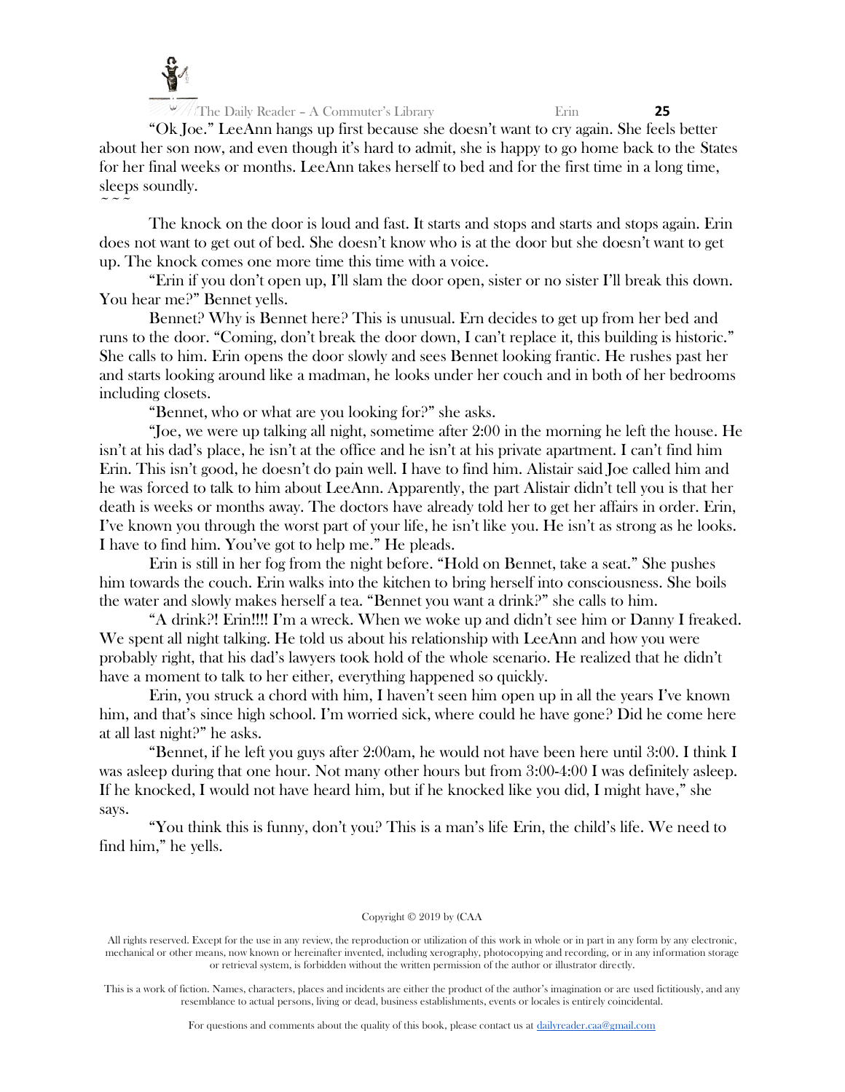

"Ok Joe." LeeAnn hangs up first because she doesn't want to cry again. She feels better about her son now, and even though it's hard to admit, she is happy to go home back to the States for her final weeks or months. LeeAnn takes herself to bed and for the first time in a long time, sleeps soundly.  $\sim$   $\sim$   $\sim$ 

The knock on the door is loud and fast. It starts and stops and starts and stops again. Erin does not want to get out of bed. She doesn't know who is at the door but she doesn't want to get up. The knock comes one more time this time with a voice.

"Erin if you don't open up, I'll slam the door open, sister or no sister I'll break this down. You hear me?" Bennet yells.

Bennet? Why is Bennet here? This is unusual. Ern decides to get up from her bed and runs to the door. "Coming, don't break the door down, I can't replace it, this building is historic." She calls to him. Erin opens the door slowly and sees Bennet looking frantic. He rushes past her and starts looking around like a madman, he looks under her couch and in both of her bedrooms including closets.

"Bennet, who or what are you looking for?" she asks.

"Joe, we were up talking all night, sometime after 2:00 in the morning he left the house. He isn't at his dad's place, he isn't at the office and he isn't at his private apartment. I can't find him Erin. This isn't good, he doesn't do pain well. I have to find him. Alistair said Joe called him and he was forced to talk to him about LeeAnn. Apparently, the part Alistair didn't tell you is that her death is weeks or months away. The doctors have already told her to get her affairs in order. Erin, I've known you through the worst part of your life, he isn't like you. He isn't as strong as he looks. I have to find him. You've got to help me." He pleads.

Erin is still in her fog from the night before. "Hold on Bennet, take a seat." She pushes him towards the couch. Erin walks into the kitchen to bring herself into consciousness. She boils the water and slowly makes herself a tea. "Bennet you want a drink?" she calls to him.

"A drink?! Erin!!!! I'm a wreck. When we woke up and didn't see him or Danny I freaked. We spent all night talking. He told us about his relationship with LeeAnn and how you were probably right, that his dad's lawyers took hold of the whole scenario. He realized that he didn't have a moment to talk to her either, everything happened so quickly.

Erin, you struck a chord with him, I haven't seen him open up in all the years I've known him, and that's since high school. I'm worried sick, where could he have gone? Did he come here at all last night?" he asks.

"Bennet, if he left you guys after 2:00am, he would not have been here until 3:00. I think I was asleep during that one hour. Not many other hours but from 3:00-4:00 I was definitely asleep. If he knocked, I would not have heard him, but if he knocked like you did, I might have," she says.

"You think this is funny, don't you? This is a man's life Erin, the child's life. We need to find him," he yells.

#### Copyright © 2019 by (CAA

All rights reserved. Except for the use in any review, the reproduction or utilization of this work in whole or in part in any form by any electronic, mechanical or other means, now known or hereinafter invented, including xerography, photocopying and recording, or in any information storage or retrieval system, is forbidden without the written permission of the author or illustrator directly.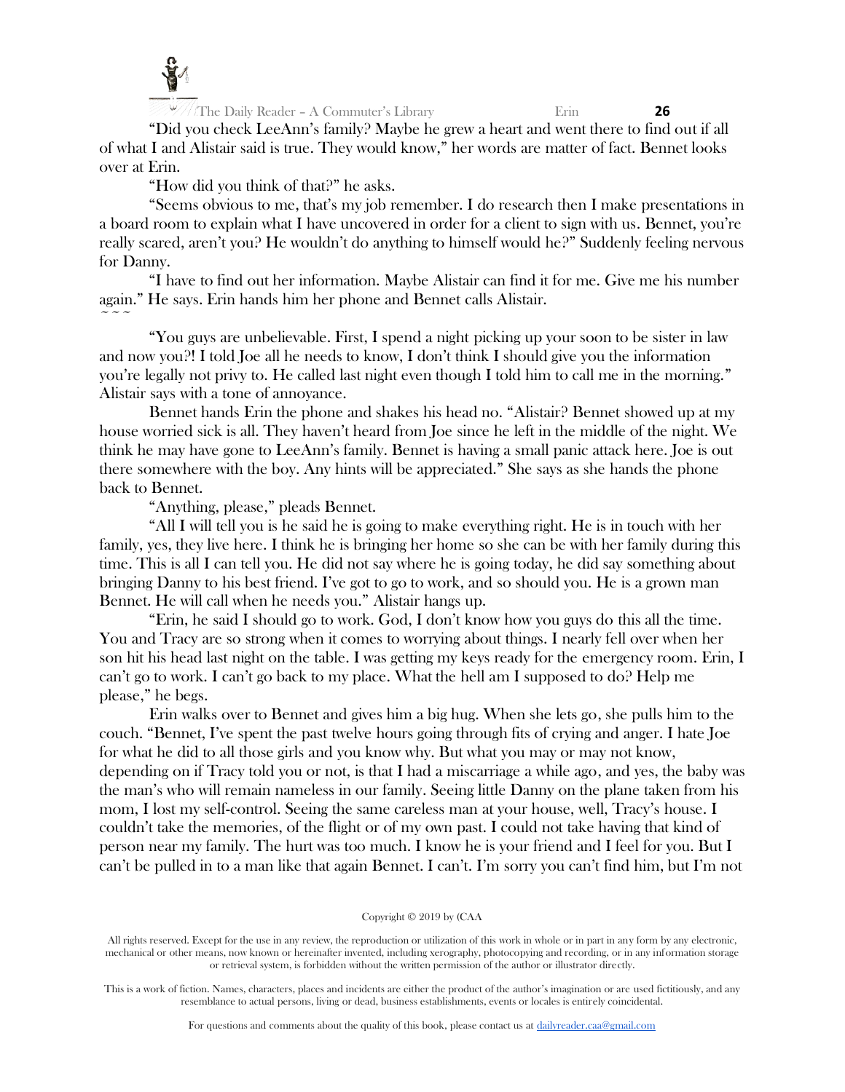

The Daily Reader – A Commuter's Library Erin **26**

"Did you check LeeAnn's family? Maybe he grew a heart and went there to find out if all of what I and Alistair said is true. They would know," her words are matter of fact. Bennet looks over at Erin.

"How did you think of that?" he asks.

"Seems obvious to me, that's my job remember. I do research then I make presentations in a board room to explain what I have uncovered in order for a client to sign with us. Bennet, you're really scared, aren't you? He wouldn't do anything to himself would he?" Suddenly feeling nervous for Danny.

"I have to find out her information. Maybe Alistair can find it for me. Give me his number again." He says. Erin hands him her phone and Bennet calls Alistair.  $\sim$   $\sim$   $\sim$ 

"You guys are unbelievable. First, I spend a night picking up your soon to be sister in law and now you?! I told Joe all he needs to know, I don't think I should give you the information you're legally not privy to. He called last night even though I told him to call me in the morning." Alistair says with a tone of annoyance.

Bennet hands Erin the phone and shakes his head no. "Alistair? Bennet showed up at my house worried sick is all. They haven't heard from Joe since he left in the middle of the night. We think he may have gone to LeeAnn's family. Bennet is having a small panic attack here. Joe is out there somewhere with the boy. Any hints will be appreciated." She says as she hands the phone back to Bennet.

"Anything, please," pleads Bennet.

"All I will tell you is he said he is going to make everything right. He is in touch with her family, yes, they live here. I think he is bringing her home so she can be with her family during this time. This is all I can tell you. He did not say where he is going today, he did say something about bringing Danny to his best friend. I've got to go to work, and so should you. He is a grown man Bennet. He will call when he needs you." Alistair hangs up.

"Erin, he said I should go to work. God, I don't know how you guys do this all the time. You and Tracy are so strong when it comes to worrying about things. I nearly fell over when her son hit his head last night on the table. I was getting my keys ready for the emergency room. Erin, I can't go to work. I can't go back to my place. What the hell am I supposed to do? Help me please," he begs.

Erin walks over to Bennet and gives him a big hug. When she lets go, she pulls him to the couch. "Bennet, I've spent the past twelve hours going through fits of crying and anger. I hate Joe for what he did to all those girls and you know why. But what you may or may not know, depending on if Tracy told you or not, is that I had a miscarriage a while ago, and yes, the baby was the man's who will remain nameless in our family. Seeing little Danny on the plane taken from his mom, I lost my self-control. Seeing the same careless man at your house, well, Tracy's house. I couldn't take the memories, of the flight or of my own past. I could not take having that kind of person near my family. The hurt was too much. I know he is your friend and I feel for you. But I can't be pulled in to a man like that again Bennet. I can't. I'm sorry you can't find him, but I'm not

# Copyright © 2019 by (CAA

All rights reserved. Except for the use in any review, the reproduction or utilization of this work in whole or in part in any form by any electronic, mechanical or other means, now known or hereinafter invented, including xerography, photocopying and recording, or in any information storage or retrieval system, is forbidden without the written permission of the author or illustrator directly.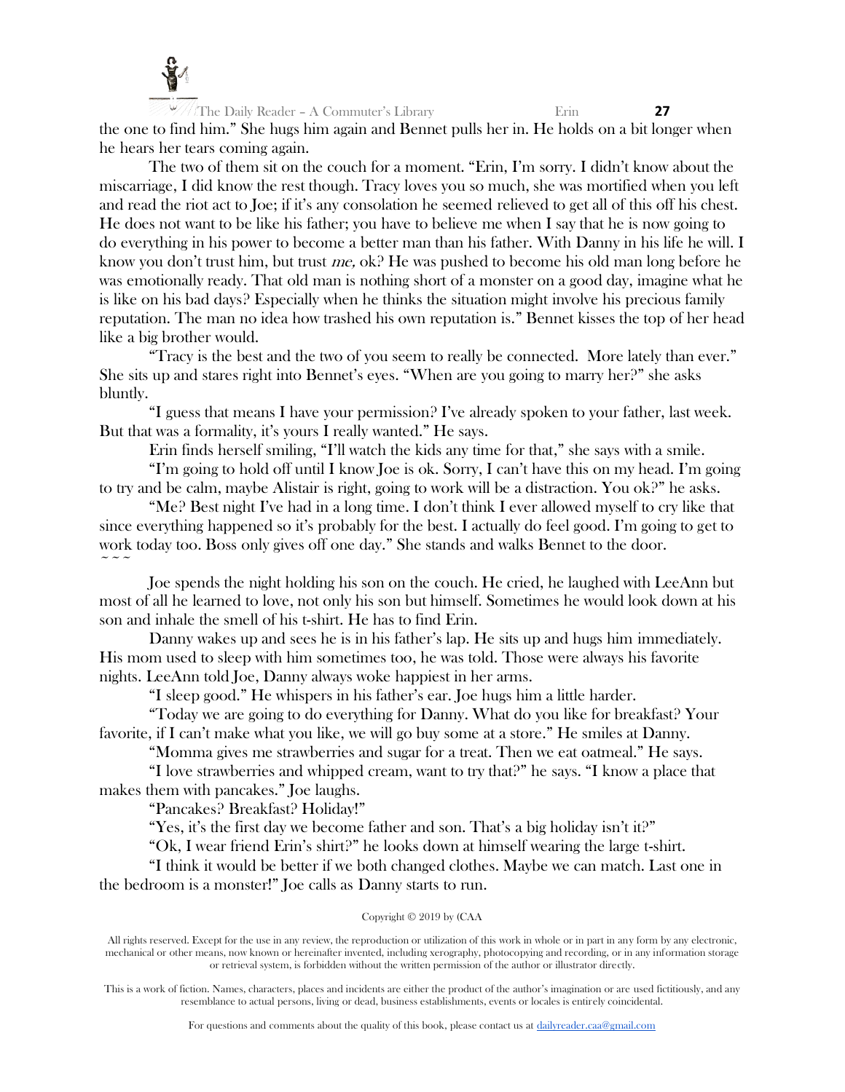

The Daily Reader – A Commuter's Library Erin **27** the one to find him." She hugs him again and Bennet pulls her in. He holds on a bit longer when he hears her tears coming again.

The two of them sit on the couch for a moment. "Erin, I'm sorry. I didn't know about the miscarriage, I did know the rest though. Tracy loves you so much, she was mortified when you left and read the riot act to Joe; if it's any consolation he seemed relieved to get all of this off his chest. He does not want to be like his father; you have to believe me when I say that he is now going to do everything in his power to become a better man than his father. With Danny in his life he will. I know you don't trust him, but trust me, ok? He was pushed to become his old man long before he was emotionally ready. That old man is nothing short of a monster on a good day, imagine what he is like on his bad days? Especially when he thinks the situation might involve his precious family reputation. The man no idea how trashed his own reputation is." Bennet kisses the top of her head like a big brother would.

"Tracy is the best and the two of you seem to really be connected. More lately than ever." She sits up and stares right into Bennet's eyes. "When are you going to marry her?" she asks bluntly.

"I guess that means I have your permission? I've already spoken to your father, last week. But that was a formality, it's yours I really wanted." He says.

Erin finds herself smiling, "I'll watch the kids any time for that," she says with a smile.

"I'm going to hold off until I know Joe is ok. Sorry, I can't have this on my head. I'm going to try and be calm, maybe Alistair is right, going to work will be a distraction. You ok?" he asks.

"Me? Best night I've had in a long time. I don't think I ever allowed myself to cry like that since everything happened so it's probably for the best. I actually do feel good. I'm going to get to work today too. Boss only gives off one day." She stands and walks Bennet to the door.  $\sim$   $\sim$   $\sim$ 

Joe spends the night holding his son on the couch. He cried, he laughed with LeeAnn but most of all he learned to love, not only his son but himself. Sometimes he would look down at his son and inhale the smell of his t-shirt. He has to find Erin.

Danny wakes up and sees he is in his father's lap. He sits up and hugs him immediately. His mom used to sleep with him sometimes too, he was told. Those were always his favorite nights. LeeAnn told Joe, Danny always woke happiest in her arms.

"I sleep good." He whispers in his father's ear. Joe hugs him a little harder.

"Today we are going to do everything for Danny. What do you like for breakfast? Your favorite, if I can't make what you like, we will go buy some at a store." He smiles at Danny.

"Momma gives me strawberries and sugar for a treat. Then we eat oatmeal." He says.

"I love strawberries and whipped cream, want to try that?" he says. "I know a place that makes them with pancakes." Joe laughs.

"Pancakes? Breakfast? Holiday!"

"Yes, it's the first day we become father and son. That's a big holiday isn't it?"

"Ok, I wear friend Erin's shirt?" he looks down at himself wearing the large t-shirt.

"I think it would be better if we both changed clothes. Maybe we can match. Last one in the bedroom is a monster!" Joe calls as Danny starts to run.

# Copyright © 2019 by (CAA

All rights reserved. Except for the use in any review, the reproduction or utilization of this work in whole or in part in any form by any electronic, mechanical or other means, now known or hereinafter invented, including xerography, photocopying and recording, or in any information storage or retrieval system, is forbidden without the written permission of the author or illustrator directly.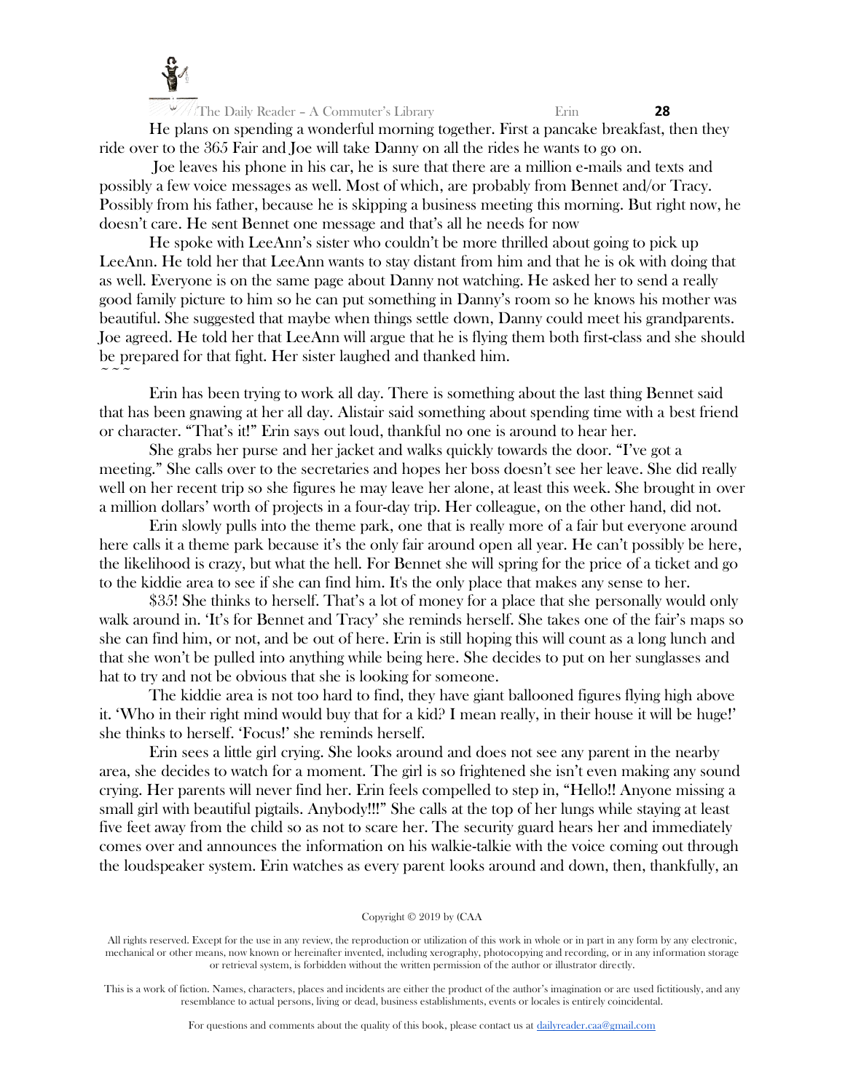

He plans on spending a wonderful morning together. First a pancake breakfast, then they ride over to the 365 Fair and Joe will take Danny on all the rides he wants to go on.

Joe leaves his phone in his car, he is sure that there are a million e-mails and texts and possibly a few voice messages as well. Most of which, are probably from Bennet and/or Tracy. Possibly from his father, because he is skipping a business meeting this morning. But right now, he doesn't care. He sent Bennet one message and that's all he needs for now

He spoke with LeeAnn's sister who couldn't be more thrilled about going to pick up LeeAnn. He told her that LeeAnn wants to stay distant from him and that he is ok with doing that as well. Everyone is on the same page about Danny not watching. He asked her to send a really good family picture to him so he can put something in Danny's room so he knows his mother was beautiful. She suggested that maybe when things settle down, Danny could meet his grandparents. Joe agreed. He told her that LeeAnn will argue that he is flying them both first-class and she should be prepared for that fight. Her sister laughed and thanked him.  $\sim$   $\sim$   $\sim$ 

Erin has been trying to work all day. There is something about the last thing Bennet said that has been gnawing at her all day. Alistair said something about spending time with a best friend or character. "That's it!" Erin says out loud, thankful no one is around to hear her.

She grabs her purse and her jacket and walks quickly towards the door. "I've got a meeting." She calls over to the secretaries and hopes her boss doesn't see her leave. She did really well on her recent trip so she figures he may leave her alone, at least this week. She brought in over a million dollars' worth of projects in a four-day trip. Her colleague, on the other hand, did not.

Erin slowly pulls into the theme park, one that is really more of a fair but everyone around here calls it a theme park because it's the only fair around open all year. He can't possibly be here, the likelihood is crazy, but what the hell. For Bennet she will spring for the price of a ticket and go to the kiddie area to see if she can find him. It's the only place that makes any sense to her.

\$35! She thinks to herself. That's a lot of money for a place that she personally would only walk around in. 'It's for Bennet and Tracy' she reminds herself. She takes one of the fair's maps so she can find him, or not, and be out of here. Erin is still hoping this will count as a long lunch and that she won't be pulled into anything while being here. She decides to put on her sunglasses and hat to try and not be obvious that she is looking for someone.

The kiddie area is not too hard to find, they have giant ballooned figures flying high above it. 'Who in their right mind would buy that for a kid? I mean really, in their house it will be huge!' she thinks to herself. 'Focus!' she reminds herself.

Erin sees a little girl crying. She looks around and does not see any parent in the nearby area, she decides to watch for a moment. The girl is so frightened she isn't even making any sound crying. Her parents will never find her. Erin feels compelled to step in, "Hello!! Anyone missing a small girl with beautiful pigtails. Anybody!!!" She calls at the top of her lungs while staying at least five feet away from the child so as not to scare her. The security guard hears her and immediately comes over and announces the information on his walkie-talkie with the voice coming out through the loudspeaker system. Erin watches as every parent looks around and down, then, thankfully, an

#### Copyright © 2019 by (CAA

All rights reserved. Except for the use in any review, the reproduction or utilization of this work in whole or in part in any form by any electronic, mechanical or other means, now known or hereinafter invented, including xerography, photocopying and recording, or in any information storage or retrieval system, is forbidden without the written permission of the author or illustrator directly.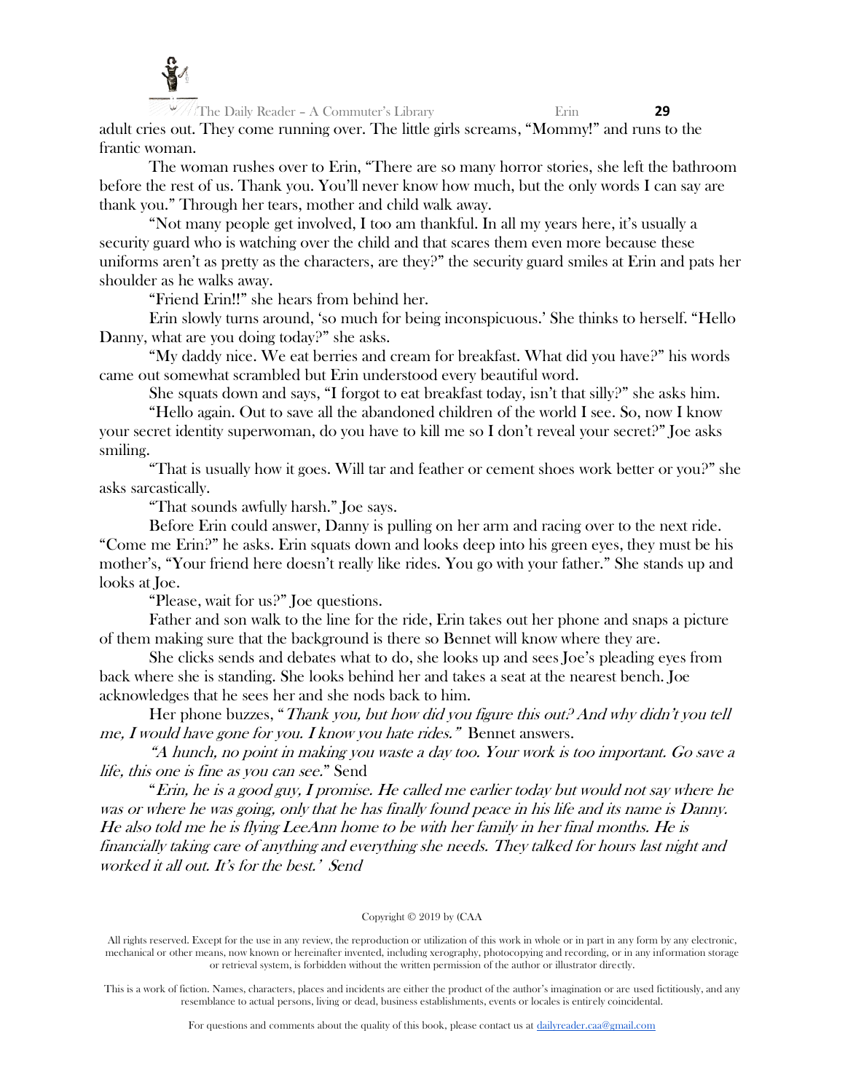

The Daily Reader – A Commuter's Library Erin **29** adult cries out. They come running over. The little girls screams, "Mommy!" and runs to the frantic woman.

The woman rushes over to Erin, "There are so many horror stories, she left the bathroom before the rest of us. Thank you. You'll never know how much, but the only words I can say are thank you." Through her tears, mother and child walk away.

"Not many people get involved, I too am thankful. In all my years here, it's usually a security guard who is watching over the child and that scares them even more because these uniforms aren't as pretty as the characters, are they?" the security guard smiles at Erin and pats her shoulder as he walks away.

"Friend Erin!!" she hears from behind her.

Erin slowly turns around, 'so much for being inconspicuous.' She thinks to herself. "Hello Danny, what are you doing today?" she asks.

"My daddy nice. We eat berries and cream for breakfast. What did you have?" his words came out somewhat scrambled but Erin understood every beautiful word.

She squats down and says, "I forgot to eat breakfast today, isn't that silly?" she asks him.

"Hello again. Out to save all the abandoned children of the world I see. So, now I know your secret identity superwoman, do you have to kill me so I don't reveal your secret?" Joe asks smiling.

"That is usually how it goes. Will tar and feather or cement shoes work better or you?" she asks sarcastically.

"That sounds awfully harsh." Joe says.

Before Erin could answer, Danny is pulling on her arm and racing over to the next ride. "Come me Erin?" he asks. Erin squats down and looks deep into his green eyes, they must be his mother's, "Your friend here doesn't really like rides. You go with your father." She stands up and looks at Joe.

"Please, wait for us?" Joe questions.

Father and son walk to the line for the ride, Erin takes out her phone and snaps a picture of them making sure that the background is there so Bennet will know where they are.

She clicks sends and debates what to do, she looks up and sees Joe's pleading eyes from back where she is standing. She looks behind her and takes a seat at the nearest bench. Joe acknowledges that he sees her and she nods back to him.

Her phone buzzes, "Thank you, but how did you figure this out? And why didn't you tell me, I would have gone for you. I know you hate rides." Bennet answers.

"A hunch, no point in making you waste a day too. Your work is too important. Go save a life, this one is fine as you can see." Send

"Erin, he is a good guy, I promise. He called me earlier today but would not say where he was or where he was going, only that he has finally found peace in his life and its name is Danny. He also told me he is flying LeeAnn home to be with her family in her final months. He is financially taking care of anything and everything she needs. They talked for hours last night and worked it all out. It's for the best.' Send

#### Copyright © 2019 by (CAA

All rights reserved. Except for the use in any review, the reproduction or utilization of this work in whole or in part in any form by any electronic, mechanical or other means, now known or hereinafter invented, including xerography, photocopying and recording, or in any information storage or retrieval system, is forbidden without the written permission of the author or illustrator directly.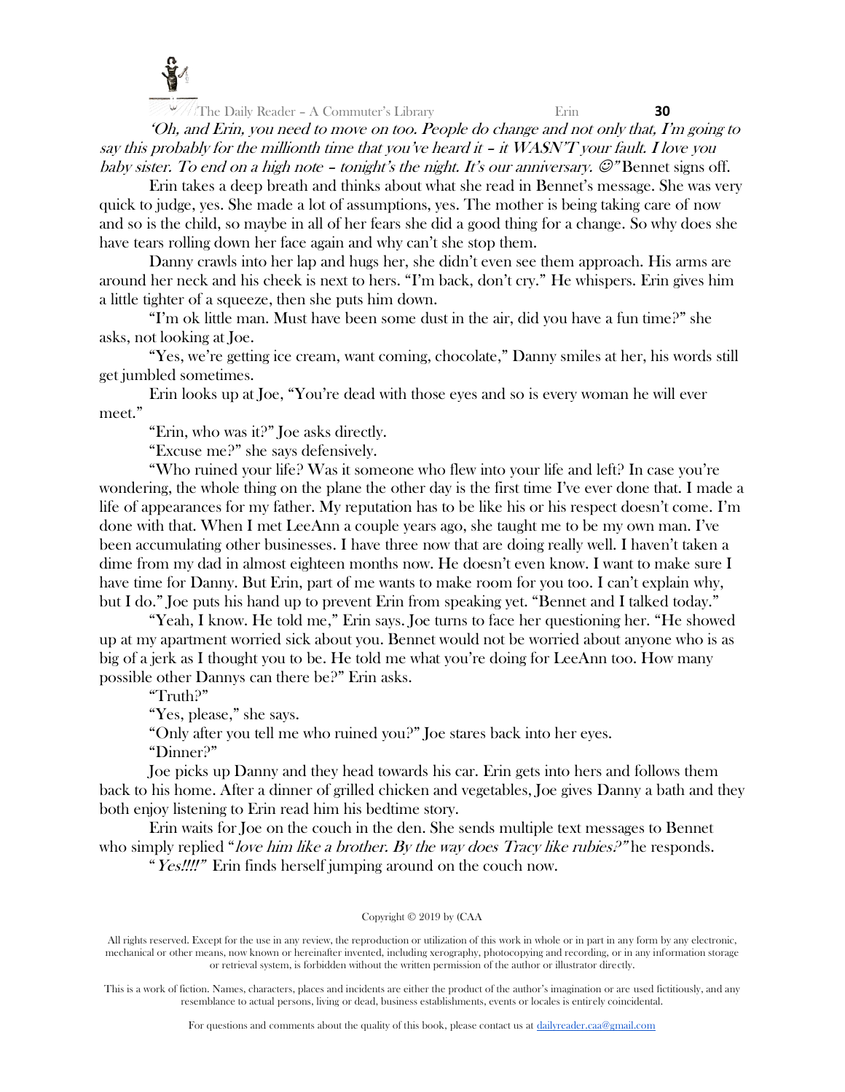

The Daily Reader – A Commuter's Library Erin **30** 'Oh, and Erin, you need to move on too. People do change and not only that, I'm going to <sup>s</sup>ay this probably for the millionth time that you've heard it – it WASN'T your fault. I love you baby sister. To end on a high note – tonight's the night. It's our anniversary.  $\mathcal{O}^n$ Bennet signs off.

Erin takes a deep breath and thinks about what she read in Bennet's message. She was very quick to judge, yes. She made a lot of assumptions, yes. The mother is being taking care of now and so is the child, so maybe in all of her fears she did a good thing for a change. So why does she have tears rolling down her face again and why can't she stop them.

Danny crawls into her lap and hugs her, she didn't even see them approach. His arms are around her neck and his cheek is next to hers. "I'm back, don't cry." He whispers. Erin gives him a little tighter of a squeeze, then she puts him down.

"I'm ok little man. Must have been some dust in the air, did you have a fun time?" she asks, not looking at Joe.

"Yes, we're getting ice cream, want coming, chocolate," Danny smiles at her, his words still get jumbled sometimes.

Erin looks up at Joe, "You're dead with those eyes and so is every woman he will ever meet."

"Erin, who was it?" Joe asks directly.

"Excuse me?" she says defensively.

"Who ruined your life? Was it someone who flew into your life and left? In case you're wondering, the whole thing on the plane the other day is the first time I've ever done that. I made a life of appearances for my father. My reputation has to be like his or his respect doesn't come. I'm done with that. When I met LeeAnn a couple years ago, she taught me to be my own man. I've been accumulating other businesses. I have three now that are doing really well. I haven't taken a dime from my dad in almost eighteen months now. He doesn't even know. I want to make sure I have time for Danny. But Erin, part of me wants to make room for you too. I can't explain why, but I do." Joe puts his hand up to prevent Erin from speaking yet. "Bennet and I talked today."

"Yeah, I know. He told me," Erin says. Joe turns to face her questioning her. "He showed up at my apartment worried sick about you. Bennet would not be worried about anyone who is as big of a jerk as I thought you to be. He told me what you're doing for LeeAnn too. How many possible other Dannys can there be?" Erin asks.

"Truth?"

"Yes, please," she says.

"Only after you tell me who ruined you?" Joe stares back into her eyes.

"Dinner?"

Joe picks up Danny and they head towards his car. Erin gets into hers and follows them back to his home. After a dinner of grilled chicken and vegetables, Joe gives Danny a bath and they both enjoy listening to Erin read him his bedtime story.

Erin waits for Joe on the couch in the den. She sends multiple text messages to Bennet who simply replied "*love him like a brother. By the way does Tracy like rubies?*" he responds.

"Yes!!!!" Erin finds herself jumping around on the couch now.

#### Copyright © 2019 by (CAA

All rights reserved. Except for the use in any review, the reproduction or utilization of this work in whole or in part in any form by any electronic, mechanical or other means, now known or hereinafter invented, including xerography, photocopying and recording, or in any information storage or retrieval system, is forbidden without the written permission of the author or illustrator directly.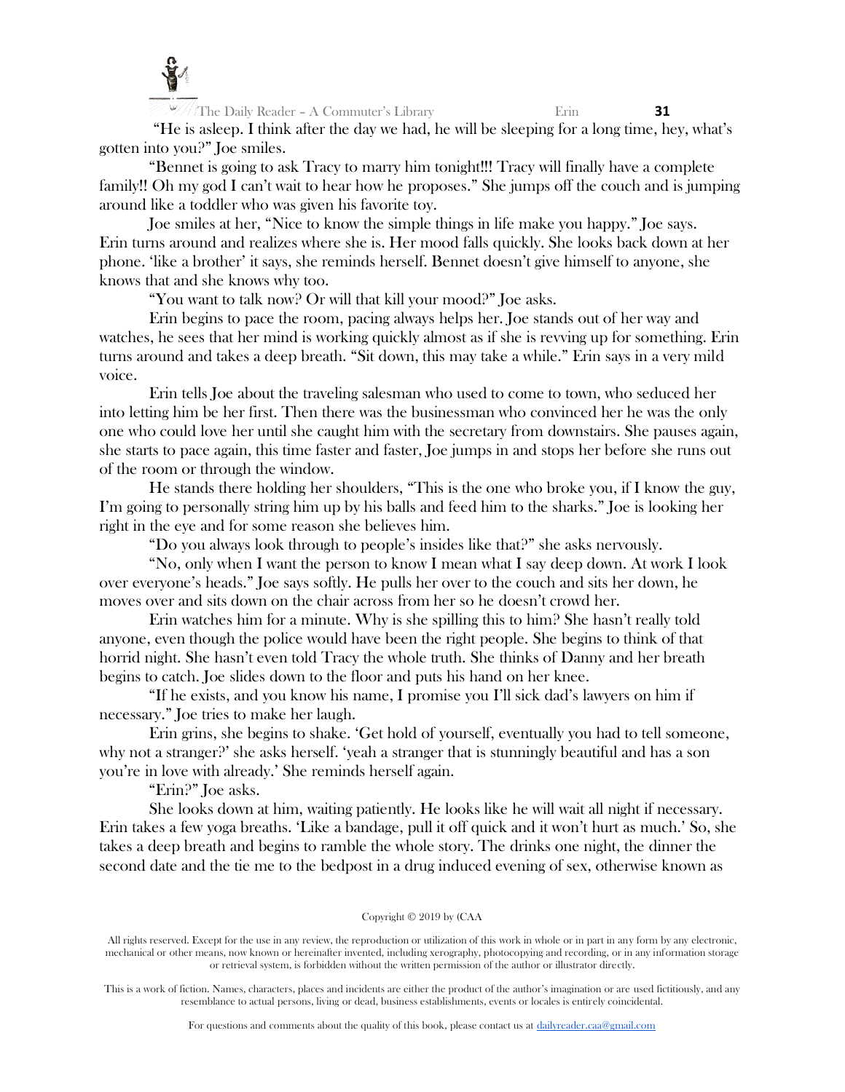

The Daily Reader – A Commuter's Library Erin **31**

"He is asleep. I think after the day we had, he will be sleeping for a long time, hey, what's gotten into you?" Joe smiles.

"Bennet is going to ask Tracy to marry him tonight!!! Tracy will finally have a complete family!! Oh my god I can't wait to hear how he proposes." She jumps off the couch and is jumping around like a toddler who was given his favorite toy.

Joe smiles at her, "Nice to know the simple things in life make you happy." Joe says. Erin turns around and realizes where she is. Her mood falls quickly. She looks back down at her phone. 'like a brother' it says, she reminds herself. Bennet doesn't give himself to anyone, she knows that and she knows why too.

"You want to talk now? Or will that kill your mood?" Joe asks.

Erin begins to pace the room, pacing always helps her. Joe stands out of her way and watches, he sees that her mind is working quickly almost as if she is revving up for something. Erin turns around and takes a deep breath. "Sit down, this may take a while." Erin says in a very mild voice.

Erin tells Joe about the traveling salesman who used to come to town, who seduced her into letting him be her first. Then there was the businessman who convinced her he was the only one who could love her until she caught him with the secretary from downstairs. She pauses again, she starts to pace again, this time faster and faster, Joe jumps in and stops her before she runs out of the room or through the window.

He stands there holding her shoulders, "This is the one who broke you, if I know the guy, I'm going to personally string him up by his balls and feed him to the sharks." Joe is looking her right in the eye and for some reason she believes him.

"Do you always look through to people's insides like that?" she asks nervously.

"No, only when I want the person to know I mean what I say deep down. At work I look over everyone's heads." Joe says softly. He pulls her over to the couch and sits her down, he moves over and sits down on the chair across from her so he doesn't crowd her.

Erin watches him for a minute. Why is she spilling this to him? She hasn't really told anyone, even though the police would have been the right people. She begins to think of that horrid night. She hasn't even told Tracy the whole truth. She thinks of Danny and her breath begins to catch. Joe slides down to the floor and puts his hand on her knee.

"If he exists, and you know his name, I promise you I'll sick dad's lawyers on him if necessary." Joe tries to make her laugh.

Erin grins, she begins to shake. 'Get hold of yourself, eventually you had to tell someone, why not a stranger?' she asks herself. 'yeah a stranger that is stunningly beautiful and has a son you're in love with already.' She reminds herself again.

"Erin?" Joe asks.

She looks down at him, waiting patiently. He looks like he will wait all night if necessary. Erin takes a few yoga breaths. 'Like a bandage, pull it off quick and it won't hurt as much.' So, she takes a deep breath and begins to ramble the whole story. The drinks one night, the dinner the second date and the tie me to the bedpost in a drug induced evening of sex, otherwise known as

# Copyright © 2019 by (CAA

All rights reserved. Except for the use in any review, the reproduction or utilization of this work in whole or in part in any form by any electronic, mechanical or other means, now known or hereinafter invented, including xerography, photocopying and recording, or in any information storage or retrieval system, is forbidden without the written permission of the author or illustrator directly.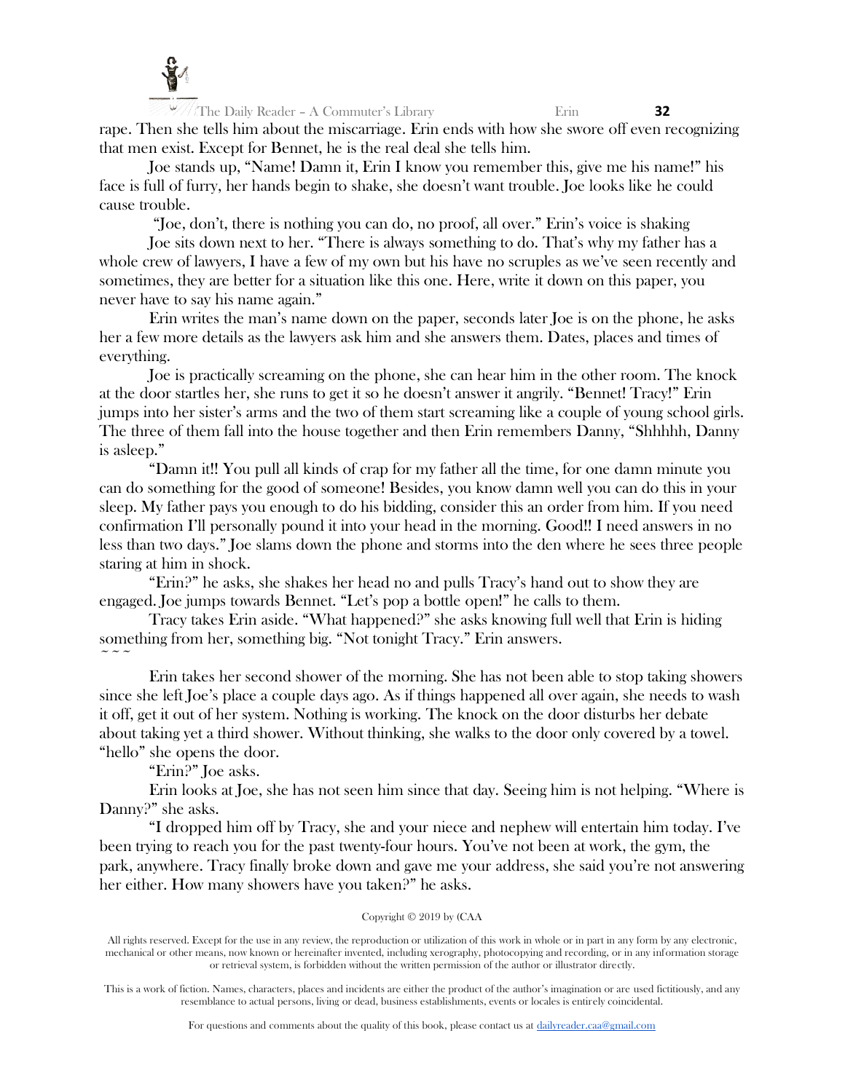

The Daily Reader – A Commuter's Library Erin **32** rape. Then she tells him about the miscarriage. Erin ends with how she swore off even recognizing that men exist. Except for Bennet, he is the real deal she tells him.

Joe stands up, "Name! Damn it, Erin I know you remember this, give me his name!" his face is full of furry, her hands begin to shake, she doesn't want trouble. Joe looks like he could cause trouble.

"Joe, don't, there is nothing you can do, no proof, all over." Erin's voice is shaking

Joe sits down next to her. "There is always something to do. That's why my father has a whole crew of lawyers, I have a few of my own but his have no scruples as we've seen recently and sometimes, they are better for a situation like this one. Here, write it down on this paper, you never have to say his name again."

Erin writes the man's name down on the paper, seconds later Joe is on the phone, he asks her a few more details as the lawyers ask him and she answers them. Dates, places and times of everything.

Joe is practically screaming on the phone, she can hear him in the other room. The knock at the door startles her, she runs to get it so he doesn't answer it angrily. "Bennet! Tracy!" Erin jumps into her sister's arms and the two of them start screaming like a couple of young school girls. The three of them fall into the house together and then Erin remembers Danny, "Shhhhh, Danny is asleep."

"Damn it!! You pull all kinds of crap for my father all the time, for one damn minute you can do something for the good of someone! Besides, you know damn well you can do this in your sleep. My father pays you enough to do his bidding, consider this an order from him. If you need confirmation I'll personally pound it into your head in the morning. Good!! I need answers in no less than two days." Joe slams down the phone and storms into the den where he sees three people staring at him in shock.

"Erin?" he asks, she shakes her head no and pulls Tracy's hand out to show they are engaged. Joe jumps towards Bennet. "Let's pop a bottle open!" he calls to them.

Tracy takes Erin aside. "What happened?" she asks knowing full well that Erin is hiding something from her, something big. "Not tonight Tracy." Erin answers.  $\sim$   $\sim$   $\sim$ 

Erin takes her second shower of the morning. She has not been able to stop taking showers since she left Joe's place a couple days ago. As if things happened all over again, she needs to wash it off, get it out of her system. Nothing is working. The knock on the door disturbs her debate about taking yet a third shower. Without thinking, she walks to the door only covered by a towel. "hello" she opens the door.

"Erin?" Joe asks.

Erin looks at Joe, she has not seen him since that day. Seeing him is not helping. "Where is Danny?" she asks.

"I dropped him off by Tracy, she and your niece and nephew will entertain him today. I've been trying to reach you for the past twenty-four hours. You've not been at work, the gym, the park, anywhere. Tracy finally broke down and gave me your address, she said you're not answering her either. How many showers have you taken?" he asks.

# Copyright © 2019 by (CAA

All rights reserved. Except for the use in any review, the reproduction or utilization of this work in whole or in part in any form by any electronic, mechanical or other means, now known or hereinafter invented, including xerography, photocopying and recording, or in any information storage or retrieval system, is forbidden without the written permission of the author or illustrator directly.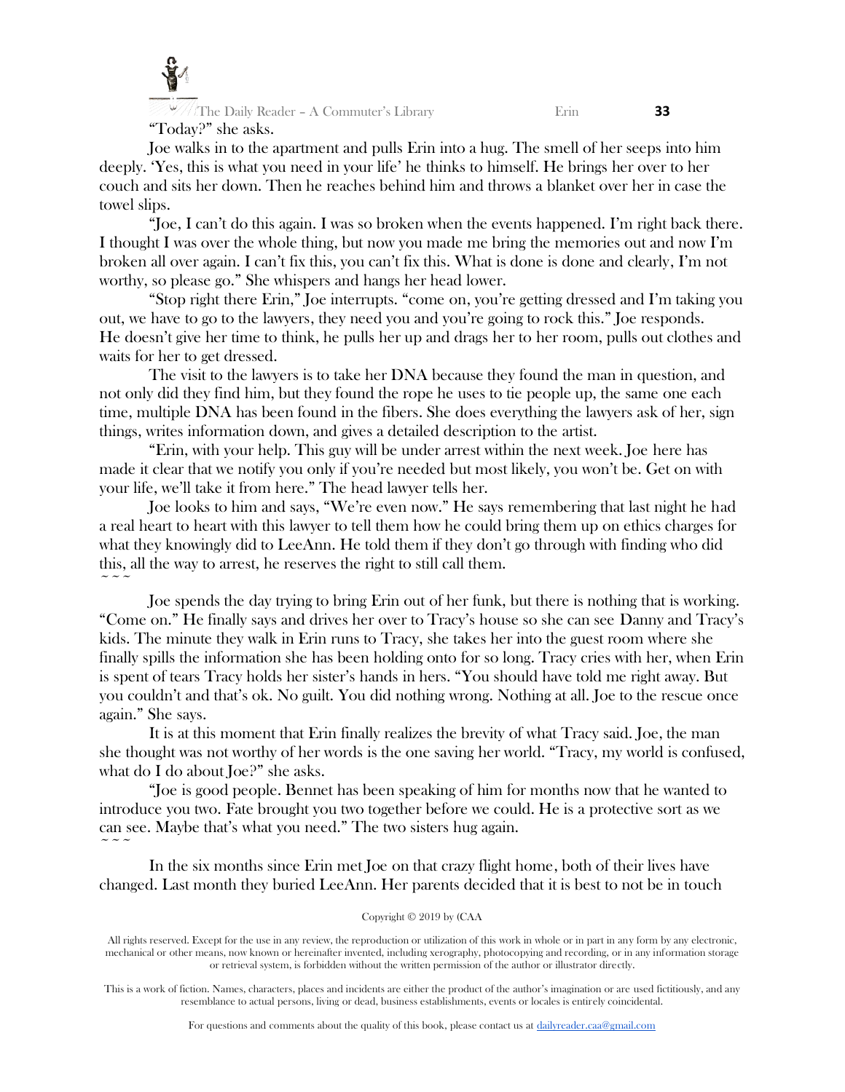

Joe walks in to the apartment and pulls Erin into a hug. The smell of her seeps into him deeply. 'Yes, this is what you need in your life' he thinks to himself. He brings her over to her couch and sits her down. Then he reaches behind him and throws a blanket over her in case the towel slips.

"Joe, I can't do this again. I was so broken when the events happened. I'm right back there. I thought I was over the whole thing, but now you made me bring the memories out and now I'm broken all over again. I can't fix this, you can't fix this. What is done is done and clearly, I'm not worthy, so please go." She whispers and hangs her head lower.

"Stop right there Erin," Joe interrupts. "come on, you're getting dressed and I'm taking you out, we have to go to the lawyers, they need you and you're going to rock this." Joe responds. He doesn't give her time to think, he pulls her up and drags her to her room, pulls out clothes and waits for her to get dressed.

The visit to the lawyers is to take her DNA because they found the man in question, and not only did they find him, but they found the rope he uses to tie people up, the same one each time, multiple DNA has been found in the fibers. She does everything the lawyers ask of her, sign things, writes information down, and gives a detailed description to the artist.

"Erin, with your help. This guy will be under arrest within the next week. Joe here has made it clear that we notify you only if you're needed but most likely, you won't be. Get on with your life, we'll take it from here." The head lawyer tells her.

Joe looks to him and says, "We're even now." He says remembering that last night he had a real heart to heart with this lawyer to tell them how he could bring them up on ethics charges for what they knowingly did to LeeAnn. He told them if they don't go through with finding who did this, all the way to arrest, he reserves the right to still call them.  $\sim$   $\sim$   $\sim$ 

Joe spends the day trying to bring Erin out of her funk, but there is nothing that is working. "Come on." He finally says and drives her over to Tracy's house so she can see Danny and Tracy's kids. The minute they walk in Erin runs to Tracy, she takes her into the guest room where she finally spills the information she has been holding onto for so long. Tracy cries with her, when Erin is spent of tears Tracy holds her sister's hands in hers. "You should have told me right away. But you couldn't and that's ok. No guilt. You did nothing wrong. Nothing at all. Joe to the rescue once again." She says.

It is at this moment that Erin finally realizes the brevity of what Tracy said. Joe, the man she thought was not worthy of her words is the one saving her world. "Tracy, my world is confused, what do I do about Joe?" she asks.

"Joe is good people. Bennet has been speaking of him for months now that he wanted to introduce you two. Fate brought you two together before we could. He is a protective sort as we can see. Maybe that's what you need." The two sisters hug again.

In the six months since Erin met Joe on that crazy flight home, both of their lives have changed. Last month they buried LeeAnn. Her parents decided that it is best to not be in touch

 $\sim$   $\sim$   $\sim$ 

# Copyright © 2019 by (CAA

All rights reserved. Except for the use in any review, the reproduction or utilization of this work in whole or in part in any form by any electronic, mechanical or other means, now known or hereinafter invented, including xerography, photocopying and recording, or in any information storage or retrieval system, is forbidden without the written permission of the author or illustrator directly.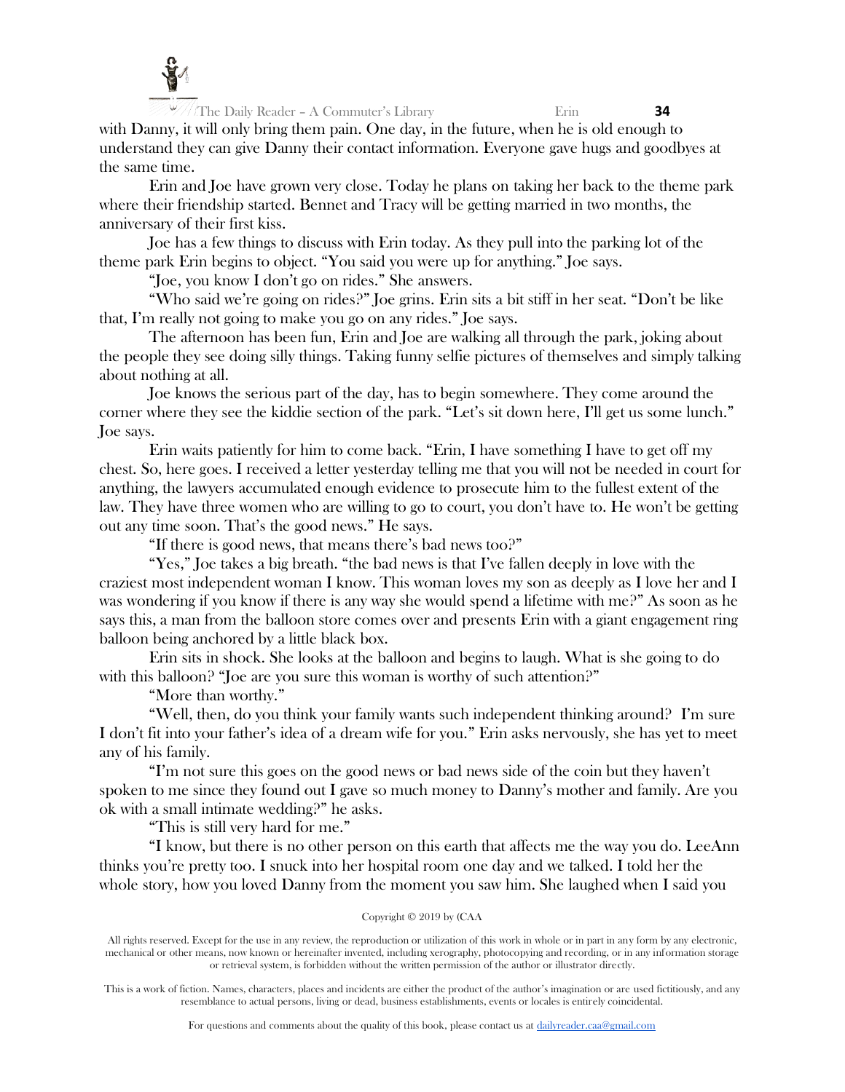

The Daily Reader – A Commuter's Library Erin **34** with Danny, it will only bring them pain. One day, in the future, when he is old enough to understand they can give Danny their contact information. Everyone gave hugs and goodbyes at the same time.

Erin and Joe have grown very close. Today he plans on taking her back to the theme park where their friendship started. Bennet and Tracy will be getting married in two months, the anniversary of their first kiss.

Joe has a few things to discuss with Erin today. As they pull into the parking lot of the theme park Erin begins to object. "You said you were up for anything." Joe says.

"Joe, you know I don't go on rides." She answers.

"Who said we're going on rides?" Joe grins. Erin sits a bit stiff in her seat. "Don't be like that, I'm really not going to make you go on any rides." Joe says.

The afternoon has been fun, Erin and Joe are walking all through the park, joking about the people they see doing silly things. Taking funny selfie pictures of themselves and simply talking about nothing at all.

Joe knows the serious part of the day, has to begin somewhere. They come around the corner where they see the kiddie section of the park. "Let's sit down here, I'll get us some lunch." Joe says.

Erin waits patiently for him to come back. "Erin, I have something I have to get off my chest. So, here goes. I received a letter yesterday telling me that you will not be needed in court for anything, the lawyers accumulated enough evidence to prosecute him to the fullest extent of the law. They have three women who are willing to go to court, you don't have to. He won't be getting out any time soon. That's the good news." He says.

"If there is good news, that means there's bad news too?"

"Yes," Joe takes a big breath. "the bad news is that I've fallen deeply in love with the craziest most independent woman I know. This woman loves my son as deeply as I love her and I was wondering if you know if there is any way she would spend a lifetime with me?" As soon as he says this, a man from the balloon store comes over and presents Erin with a giant engagement ring balloon being anchored by a little black box.

Erin sits in shock. She looks at the balloon and begins to laugh. What is she going to do with this balloon? "Joe are you sure this woman is worthy of such attention?"

"More than worthy."

"Well, then, do you think your family wants such independent thinking around? I'm sure I don't fit into your father's idea of a dream wife for you." Erin asks nervously, she has yet to meet any of his family.

"I'm not sure this goes on the good news or bad news side of the coin but they haven't spoken to me since they found out I gave so much money to Danny's mother and family. Are you ok with a small intimate wedding?" he asks.

"This is still very hard for me."

"I know, but there is no other person on this earth that affects me the way you do. LeeAnn thinks you're pretty too. I snuck into her hospital room one day and we talked. I told her the whole story, how you loved Danny from the moment you saw him. She laughed when I said you

Copyright © 2019 by (CAA

All rights reserved. Except for the use in any review, the reproduction or utilization of this work in whole or in part in any form by any electronic, mechanical or other means, now known or hereinafter invented, including xerography, photocopying and recording, or in any information storage or retrieval system, is forbidden without the written permission of the author or illustrator directly.